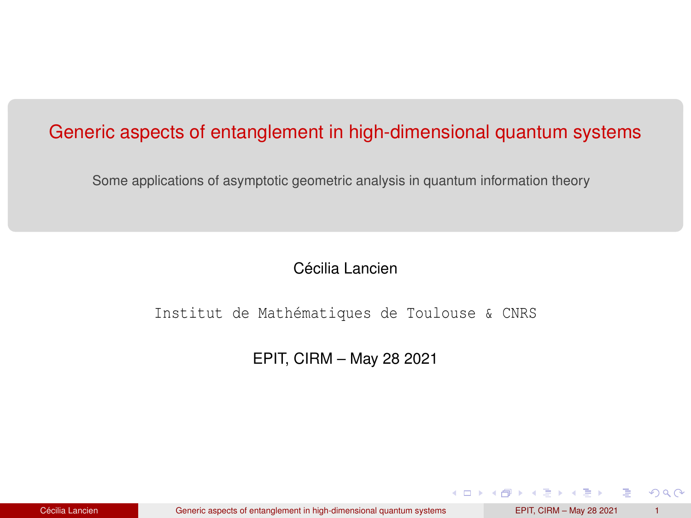## <span id="page-0-0"></span>Generic aspects of entanglement in high-dimensional quantum systems

Some applications of asymptotic geometric analysis in quantum information theory

Cécilia Lancien

Institut de Mathématiques de Toulouse & CNRS

EPIT, CIRM – May 28 2021

 $2Q$ 

K ロ ▶ K 御 ▶ K ヨ ▶ K ヨ ▶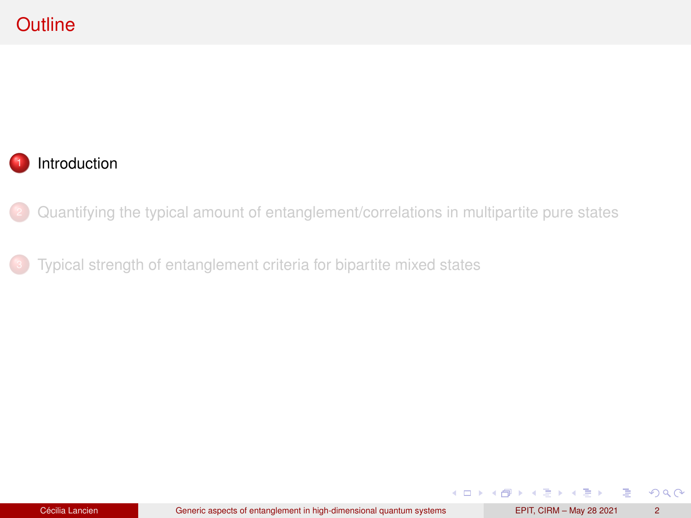# <span id="page-1-0"></span>**Outline**

## **[Introduction](#page-1-0)**

<sup>2</sup> [Quantifying the typical amount of entanglement/correlations in multipartite pure states](#page-10-0)

[Typical strength of entanglement criteria for bipartite mixed states](#page-37-0)

 $299$ 

G

**K ロ ▶ K 御 ▶ K ヨ ▶ K ヨ ▶**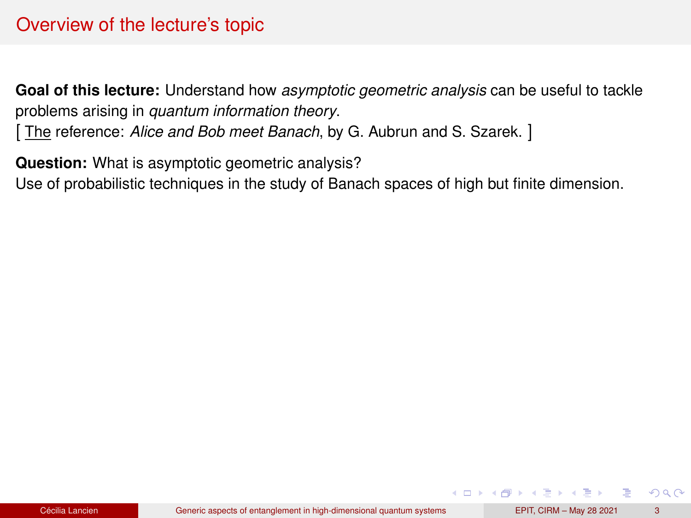## Overview of the lecture's topic

**Goal of this lecture:** Understand how *asymptotic geometric analysis* can be useful to tackle problems arising in *quantum information theory*.

[ The reference: *Alice and Bob meet Banach*, by G. Aubrun and S. Szarek. ]

**Question:** What is asymptotic geometric analysis?

Use of probabilistic techniques in the study of Banach spaces of high but finite dimension.

 $2Q$ 

4 ロ ト 4 何 ト 4 ヨ ト 4 ヨ ト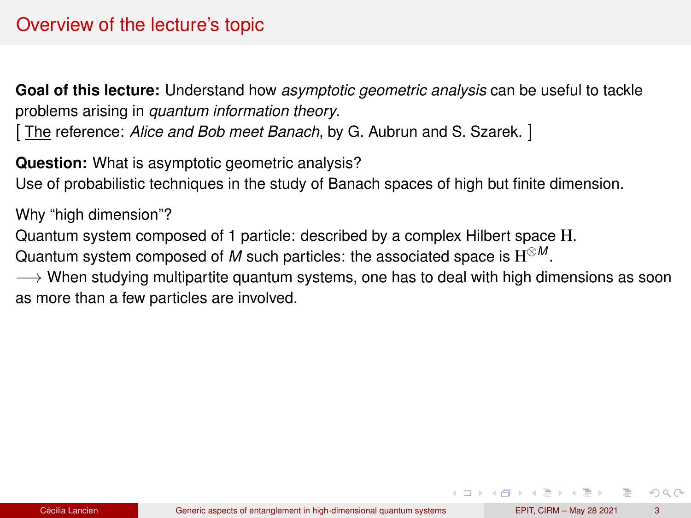## Overview of the lecture's topic

**Goal of this lecture:** Understand how *asymptotic geometric analysis* can be useful to tackle problems arising in *quantum information theory*.

[ The reference: *Alice and Bob meet Banach*, by G. Aubrun and S. Szarek. ]

**Question:** What is asymptotic geometric analysis? Use of probabilistic techniques in the study of Banach spaces of high but finite dimension.

Why "high dimension"?

Quantum system composed of 1 particle: described by a complex Hilbert space H.

Quantum system composed of *M* such particles: the associated space is H <sup>⊗</sup>*<sup>M</sup>* .

 $\rightarrow$  When studying multipartite quantum systems, one has to deal with high dimensions as soon as more than a few particles are involved.

 $2Q$ 

 $\mathbf{A} \cap \mathbf{B} \rightarrow \mathbf{A} \oplus \mathbf{B} \rightarrow \mathbf{A} \oplus \mathbf{B} \rightarrow \mathbf{A} \oplus \mathbf{B}$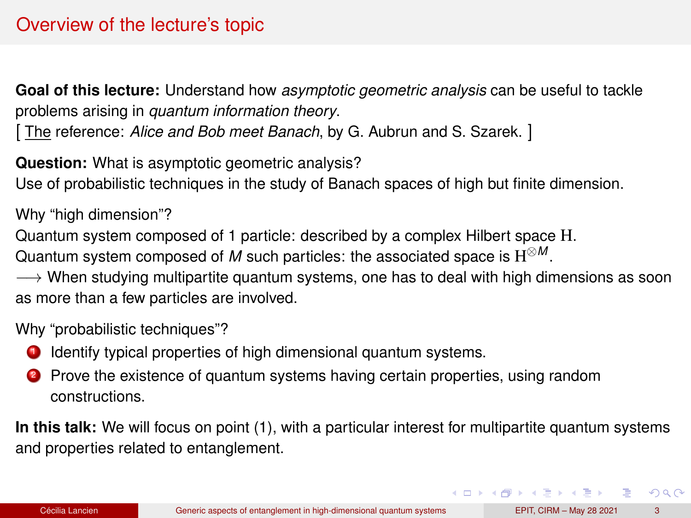# Overview of the lecture's topic

**Goal of this lecture:** Understand how *asymptotic geometric analysis* can be useful to tackle problems arising in *quantum information theory*.

[ The reference: *Alice and Bob meet Banach*, by G. Aubrun and S. Szarek. ]

**Question:** What is asymptotic geometric analysis? Use of probabilistic techniques in the study of Banach spaces of high but finite dimension.

Why "high dimension"?

Quantum system composed of 1 particle: described by a complex Hilbert space H.

Quantum system composed of *M* such particles: the associated space is H <sup>⊗</sup>*<sup>M</sup>* .

 $\rightarrow$  When studying multipartite quantum systems, one has to deal with high dimensions as soon as more than a few particles are involved.

Why "probabilistic techniques"?

- **1** Identify typical properties of high dimensional quantum systems.
- 2 Prove the existence of quantum systems having certain properties, using random constructions.

**In this talk:** We will focus on point (1), with a particular interest for multipartite quantum systems and properties related to entanglement.

 $\Omega$ 

イロト イ押 トイヨ トイヨ トーヨー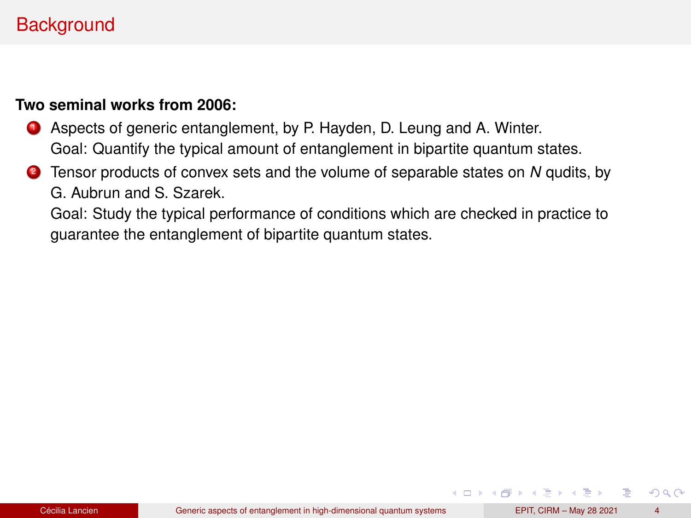# **Background**

#### **Two seminal works from 2006:**

- **1** Aspects of generic entanglement, by P. Hayden, D. Leung and A. Winter. Goal: Quantify the typical amount of entanglement in bipartite quantum states.
- <sup>2</sup> Tensor products of convex sets and the volume of separable states on *N* qudits, by G. Aubrun and S. Szarek.

Goal: Study the typical performance of conditions which are checked in practice to guarantee the entanglement of bipartite quantum states.

÷.

 $QQ$ 

K ロ ▶ K 御 ▶ K ヨ ▶ K ヨ ▶ ...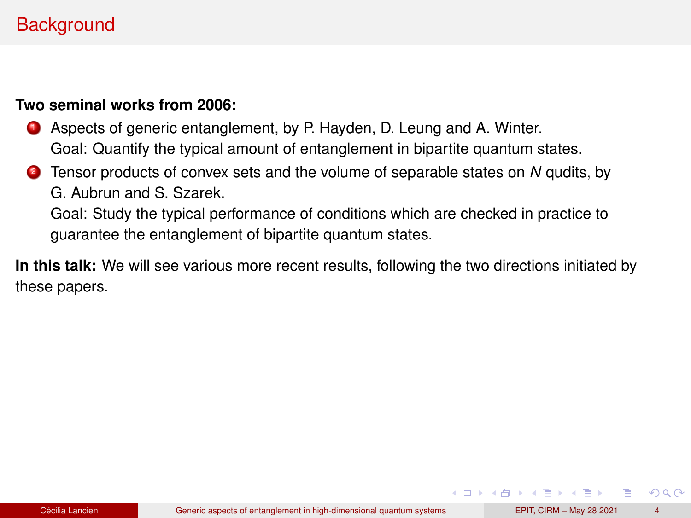# **Background**

#### **Two seminal works from 2006:**

- **1** Aspects of generic entanglement, by P. Hayden, D. Leung and A. Winter. Goal: Quantify the typical amount of entanglement in bipartite quantum states.
- <sup>2</sup> Tensor products of convex sets and the volume of separable states on *N* qudits, by G. Aubrun and S. Szarek.

Goal: Study the typical performance of conditions which are checked in practice to guarantee the entanglement of bipartite quantum states.

**In this talk:** We will see various more recent results, following the two directions initiated by these papers.

 $\Omega$ 

イロト イ押 トイヨ トイヨ トーヨー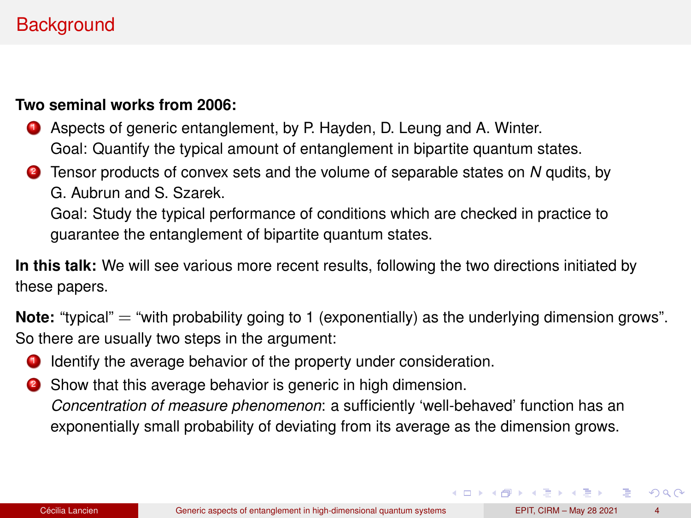# **Background**

#### **Two seminal works from 2006:**

- **1** Aspects of generic entanglement, by P. Hayden, D. Leung and A. Winter. Goal: Quantify the typical amount of entanglement in bipartite quantum states.
- <sup>2</sup> Tensor products of convex sets and the volume of separable states on *N* qudits, by G. Aubrun and S. Szarek.

Goal: Study the typical performance of conditions which are checked in practice to guarantee the entanglement of bipartite quantum states.

**In this talk:** We will see various more recent results, following the two directions initiated by these papers.

**Note:** "typical" = "with probability going to 1 (exponentially) as the underlying dimension grows". So there are usually two steps in the argument:

- **1** Identify the average behavior of the property under consideration.
- 2 Show that this average behavior is generic in high dimension. *Concentration of measure phenomenon*: a sufficiently 'well-behaved' function has an exponentially small probability of deviating from its average as the dimension grows.

 $\Omega$ 

イロト イ押 トイヨ トイヨ トーヨ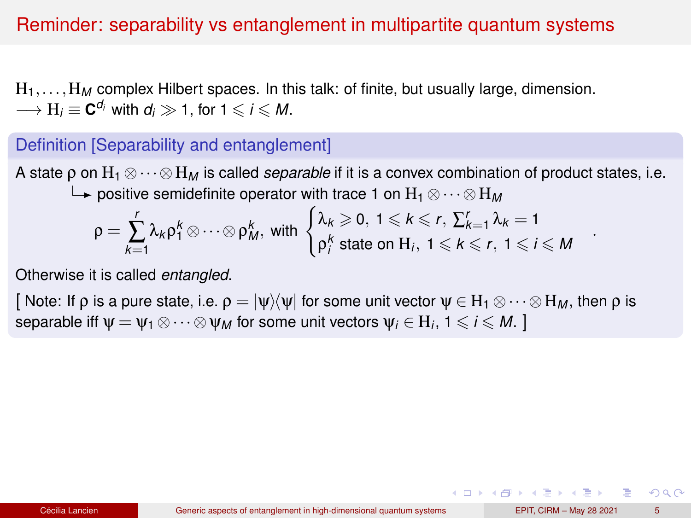## Reminder: separability vs entanglement in multipartite quantum systems

H1,...,H*<sup>M</sup>* complex Hilbert spaces. In this talk: of finite, but usually large, dimension.  $\longrightarrow$   $H_i \equiv \mathbf{C}^{d_i}$  with  $d_i \gg 1$ , for  $1 \leqslant i \leqslant M$ .

### Definition [Separability and entanglement]

A state ρ on H<sup>1</sup> ⊗··· ⊗H*<sup>M</sup>* is called *separable* if it is a convex combination of product states, i.e. positive semidefinite operator with trace 1 on H<sup>1</sup> ⊗··· ⊗H*<sup>M</sup>*

$$
\rho = \sum_{k=1}^r \lambda_k \rho_1^k \otimes \cdots \otimes \rho_M^k, \text{ with } \begin{cases} \lambda_k \geqslant 0, \ 1 \leqslant k \leqslant r, \ \sum_{k=1}^r \lambda_k = 1 \\ \rho_1^k \text{ state on } H_i, \ 1 \leqslant k \leqslant r, \ 1 \leqslant i \leqslant M \end{cases}
$$

Otherwise it is called *entangled*.

[ Note: If p is a pure state, i.e.  $\rho = |\psi\rangle\langle\psi|$  for some unit vector  $\psi \in H_1 \otimes \cdots \otimes H_M$ , then p is separable iff  $\psi = \psi_1 \otimes \cdots \otimes \psi_M$  for some unit vectors  $\psi_i \in H_i$ ,  $1 \leqslant i \leqslant M$ . ]

 $2Q$ 

イロト イ押 トイヨ トイヨ トーヨー

.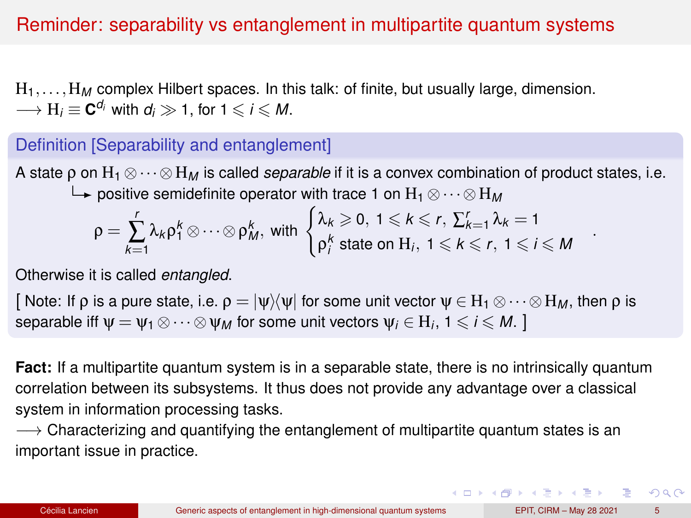## <span id="page-9-0"></span>Reminder: separability vs entanglement in multipartite quantum systems

H1,...,H*<sup>M</sup>* complex Hilbert spaces. In this talk: of finite, but usually large, dimension.  $\longrightarrow$   $H_i \equiv \mathbf{C}^{d_i}$  with  $d_i \gg 1$ , for  $1 \leqslant i \leqslant M$ .

### Definition [Separability and entanglement]

A state p on  $H_1 \otimes \cdots \otimes H_M$  is called *separable* if it is a convex combination of product states, i.e. positive semidefinite operator with trace 1 on H<sup>1</sup> ⊗··· ⊗H*<sup>M</sup>*

$$
\rho = \sum_{k=1}^r \lambda_k \rho_1^k \otimes \cdots \otimes \rho_M^k, \text{ with } \begin{cases} \lambda_k \geqslant 0, \ 1 \leqslant k \leqslant r, \ \sum_{k=1}^r \lambda_k = 1\\ \rho_1^k \text{ state on } H_i, \ 1 \leqslant k \leqslant r, \ 1 \leqslant i \leqslant M \end{cases}
$$

Otherwise it is called *entangled*.

[ Note: If p is a pure state, i.e.  $\rho = |\psi\rangle\langle\psi|$  for some unit vector  $\psi \in H_1 \otimes \cdots \otimes H_M$ , then p is separable iff  $\psi = \psi_1 \otimes \cdots \otimes \psi_M$  for some unit vectors  $\psi_i \in H_i$ ,  $1 \leqslant i \leqslant M$ . ]

**Fact:** If a multipartite quantum system is in a separable state, there is no intrinsically quantum correlation between its subsystems. It thus does not provide any advantage over a classical system in information processing tasks.

 $\rightarrow$  Characterizing and quantifying the entanglement of multipartite quantum states is an important issue in practice.

.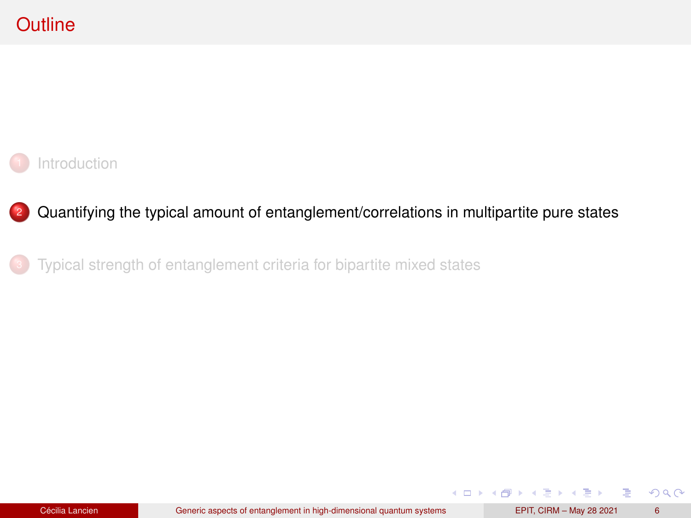<span id="page-10-0"></span>

### <sup>2</sup> [Quantifying the typical amount of entanglement/correlations in multipartite pure states](#page-10-0)

[Typical strength of entanglement criteria for bipartite mixed states](#page-37-0)

 $299$ 

重

**K ロ ▶ K 御 ▶ K ヨ ▶ K ヨ ▶**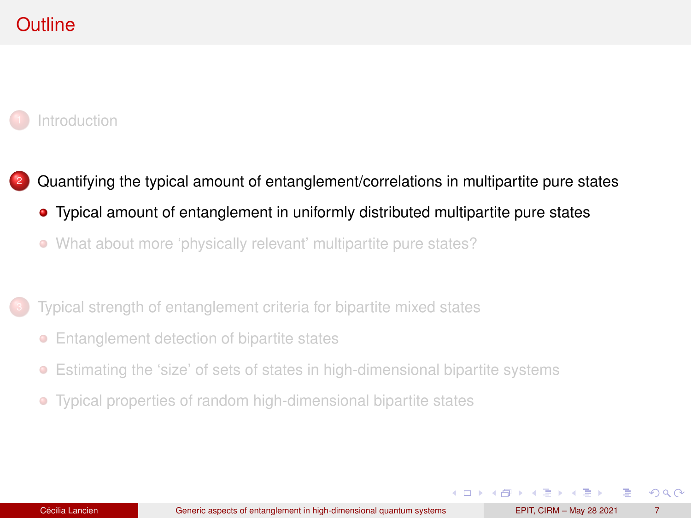# <span id="page-11-0"></span>**Outline**

#### **[Introduction](#page-1-0)**

- <sup>2</sup> [Quantifying the typical amount of entanglement/correlations in multipartite pure states](#page-10-0)
	- [Typical amount of entanglement in uniformly distributed multipartite pure states](#page-11-0)
	- [What about more 'physically relevant' multipartite pure states?](#page-24-0)
- [Typical strength of entanglement criteria for bipartite mixed states](#page-37-0)
	- [Entanglement detection of bipartite states](#page-38-0)
	- $\bullet$ [Estimating the 'size' of sets of states in high-dimensional bipartite systems](#page-47-0)
	- [Typical properties of random high-dimensional bipartite states](#page-51-0)  $\bullet$

 $\Omega$ 

イロト イ押ト イヨト イヨト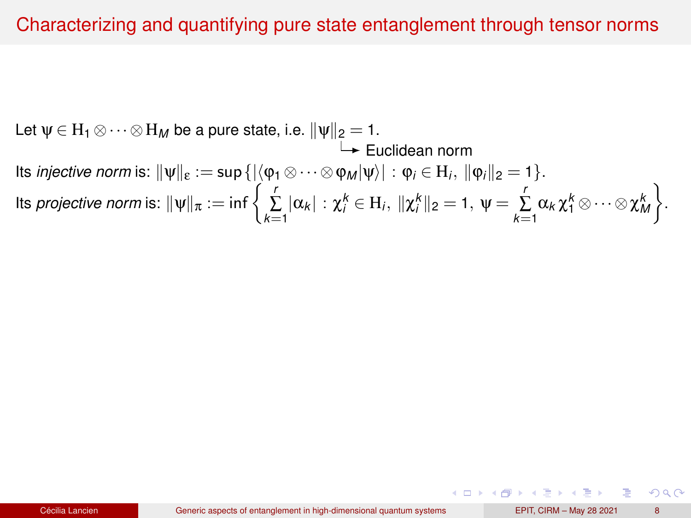### Characterizing and quantifying pure state entanglement through tensor norms

Let  $\psi \in H_1 \otimes \cdots \otimes H_M$  be a pure state, i.e.  $\|\psi\|_2 = 1$ .  $\mapsto$  Euclidean norm lts *injective norm* is:  $\|\psi\|_{\varepsilon} := \sup\left\{|\langle \phi_1 \otimes \cdots \otimes \phi_M|\psi\rangle| : \phi_i \in H_i, \ \|\phi_i\|_2 = 1\right\}.$  $\alpha$  Its *projective norm* is:  $\|\psi\|_{\pi} := \inf \left\{ \sum_{k=1}^{r} |\alpha_k| : \chi_i^k \in H_i, \ \|\chi_i^k\|_2 = 1, \ \psi = \sum_{k=1}^{r} \alpha_k \chi_1^k \otimes \cdots \otimes \chi_M^k \right\}$  $\big\}$ .

つひひ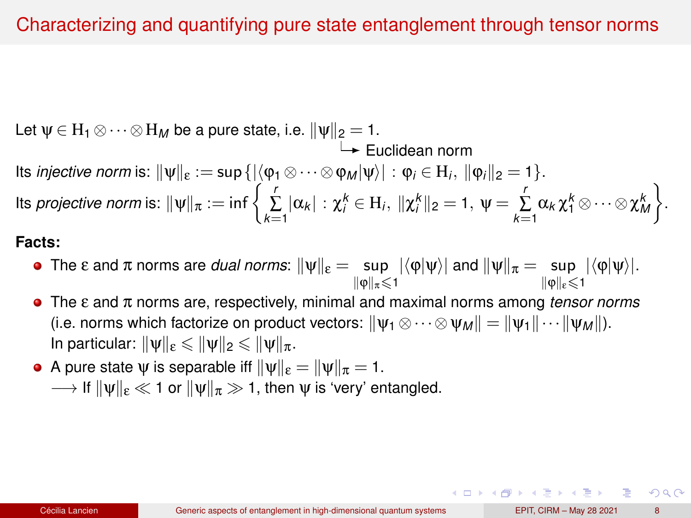## Characterizing and quantifying pure state entanglement through tensor norms

Let  $\psi \in H_1 \otimes \cdots \otimes H_M$  be a pure state, i.e.  $\|\psi\|_2 = 1$ .  $\mapsto$  Euclidean norm lts *injective norm* is:  $\|\psi\|_{\varepsilon} := \sup\left\{|\langle \phi_1 \otimes \cdots \otimes \phi_M|\psi\rangle| : \phi_i \in H_i, \ \|\phi_i\|_2 = 1\right\}.$  $\alpha$  Its *projective norm* is:  $\|\psi\|_{\pi} := \inf \left\{ \sum_{k=1}^{r} |\alpha_k| : \chi_i^k \in H_i, \ \|\chi_i^k\|_2 = 1, \ \psi = \sum_{k=1}^{r} \alpha_k \chi_1^k \otimes \cdots \otimes \chi_M^k \right\}$  $\big\}$ .

#### **Facts:**

- The ε and π norms are *dual norms*:  $\|\psi\|_{\epsilon} = \sup_{\|\phi\|_{\pi} \leqslant 1} |\langle \phi | \psi \rangle|$  and  $\|\psi\|_{\pi} = \sup_{\|\phi\|_{\epsilon} \leqslant 1}$  $\|\omega\|_{\pi}$  < 1  $|\langle \phi | \psi \rangle|.$
- The ε and π norms are, respectively, minimal and maximal norms among *tensor norms*  $\bullet$ (i.e. norms which factorize on product vectors:  $\|\psi_1 \otimes \cdots \otimes \psi_M\| = \|\psi_1\| \cdots \|\psi_M\|$ ). In particular:  $\|\psi\|_{\epsilon} \leqslant \|\psi\|_{2} \leqslant \|\psi\|_{\pi}$ .
- A pure state  $\psi$  is separable iff  $\|\psi\|_{\epsilon} = \|\psi\|_{\pi} = 1$ .  $\rightarrow$  If  $\|\mathbf{v}\|_{\epsilon} \ll 1$  or  $\|\mathbf{v}\|_{\pi} \gg 1$ , then  $\mathbf{v}$  is 'very' entangled.

つひひ

( ロ ) ( 何 ) ( ヨ ) ( ヨ ) ( ヨ )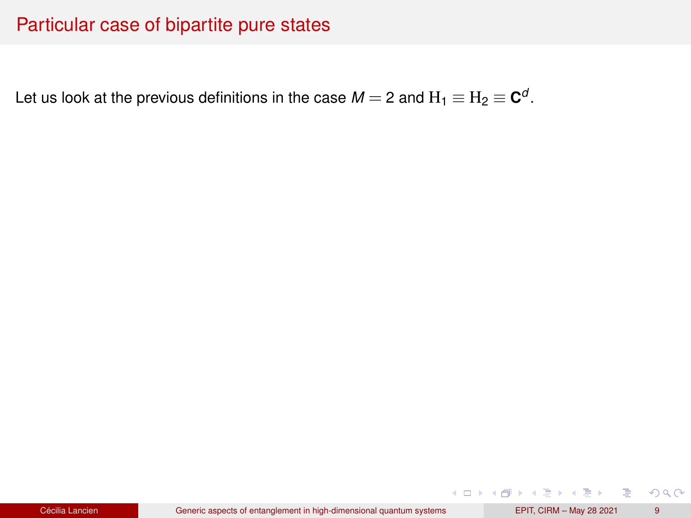## Particular case of bipartite pure states

Let us look at the previous definitions in the case  $M=$  2 and  $\mathrm{H_1} \equiv \mathrm{H_2} \equiv \mathbf{C}^d$ .

 $299$ 

イロト イ押 トイヨト イヨト 一番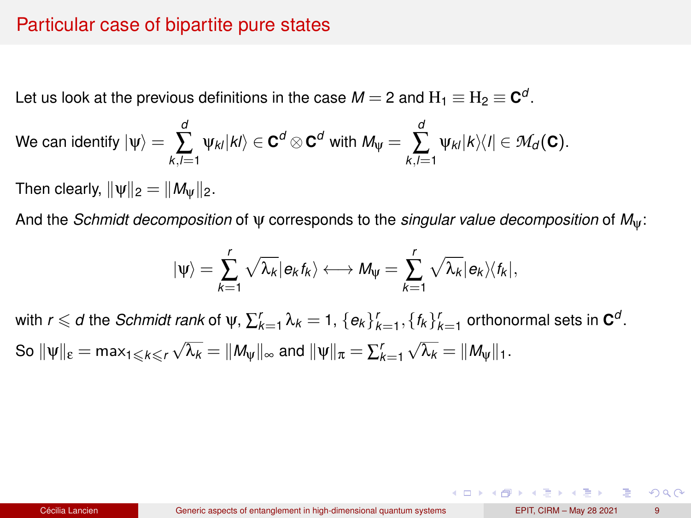### Particular case of bipartite pure states

Let us look at the previous definitions in the case  $M=$  2 and  $\mathrm{H_1} \equiv \mathrm{H_2} \equiv \mathbf{C}^d$ .

We can identify 
$$
|\psi\rangle = \sum_{k,l=1}^d \psi_{kl} |kl\rangle \in \mathbf{C}^d \otimes \mathbf{C}^d
$$
 with  $M_{\psi} = \sum_{k,l=1}^d \psi_{kl} |k\rangle\langle l| \in \mathcal{M}_d(\mathbf{C})$ .

Then clearly,  $\|\psi\|_2 = \|M_{\psi}\|_2$ .

And the *Schmidt decomposition* of ψ corresponds to the *singular value decomposition* of *M*ψ:

$$
|\psi\rangle=\sum_{k=1}^r\sqrt{\lambda_k}|\textbf{e}_kf_k\rangle\longleftrightarrow M_\psi=\sum_{k=1}^r\sqrt{\lambda_k}|\textbf{e}_k\rangle\langle f_k|,
$$

with  $r \leqslant d$  the *Schmidt rank* of  $\psi$ ,  $\sum_{k=1}^{r} \lambda_k = 1$ ,  $\{e_k\}_{k=1}^{r}, \{f_k\}_{k=1}^{r}$  orthonormal sets in  $\mathbf{C}^{d}$ . So  $\|\psi\|_{\epsilon} = \max_{1 \leqslant k \leqslant r} \sqrt{\lambda_k} = \|M_{\psi}\|_{\infty}$  and  $\|\psi\|_{\pi} = \sum_{k=1}^{r}$  $\sqrt{\lambda_k} = ||M_{\psi}||_1.$ 

 $2Q$ 

イロト イ押 トイヨ トイヨ トーヨー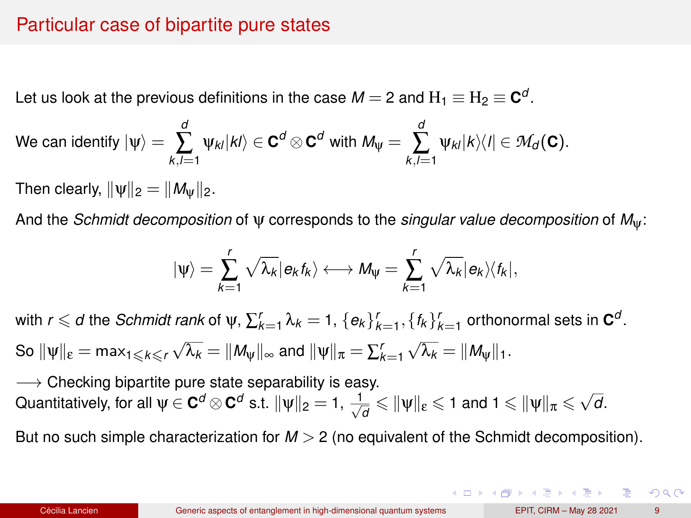### Particular case of bipartite pure states

Let us look at the previous definitions in the case  $M=$  2 and  $\mathrm{H_1} \equiv \mathrm{H_2} \equiv \mathbf{C}^d$ .

We can identify 
$$
|\psi\rangle = \sum_{k,l=1}^d \psi_{kl} |kl\rangle \in \mathbf{C}^d \otimes \mathbf{C}^d
$$
 with  $M_{\psi} = \sum_{k,l=1}^d \psi_{kl} |k\rangle\langle l| \in \mathcal{M}_d(\mathbf{C})$ .

Then clearly,  $\|\psi\|_2 = \|M_{\Psi}\|_2$ .

And the *Schmidt decomposition* of ψ corresponds to the *singular value decomposition* of *M*ψ:

$$
|\psi\rangle=\sum_{k=1}^r\sqrt{\lambda_k}|\textbf{e}_kt_k\rangle\longleftrightarrow M_\psi=\sum_{k=1}^r\sqrt{\lambda_k}|\textbf{e}_k\rangle\langle\textbf{f}_k|,
$$

with  $r \leqslant d$  the *Schmidt rank* of  $\psi$ ,  $\sum_{k=1}^{r} \lambda_k = 1$ ,  $\{e_k\}_{k=1}^{r}, \{f_k\}_{k=1}^{r}$  orthonormal sets in  $\mathbf{C}^{d}$ . So  $\|\psi\|_{\epsilon} = \max_{1 \leqslant k \leqslant r} \sqrt{\lambda_k} = \|M_{\psi}\|_{\infty}$  and  $\|\psi\|_{\pi} = \sum_{k=1}^{r}$  $\sqrt{\lambda_k} = ||M_{\psi}||_1.$ 

 $\longrightarrow$  Checking bipartite pure state separability is easy.  $\rightarrow$  Checking orpanice pure state separability is easy.<br>Quantitatively, for all  $\psi \in \mathbf{C}^d \otimes \mathbf{C}^d$  s.t.  $\|\psi\|_2 = 1$ ,  $\frac{1}{\sqrt{d}} \leqslant \|\psi\|_{\epsilon} \leqslant 1$  and  $1 \leqslant \|\psi\|_{\pi} \leqslant \sqrt{d}$ .

But no such simple characterization for *M* > 2 (no equivalent of the Schmidt decomposition).

 $QQ$ 

 $\mathbf{A} \cap \mathbf{B} \rightarrow \mathbf{A} \oplus \mathbf{B} \rightarrow \mathbf{A} \oplus \mathbf{B} \rightarrow \mathbf{B} \oplus \mathbf{B} \oplus \mathbf{B} \oplus \mathbf{B} \oplus \mathbf{B} \oplus \mathbf{B} \oplus \mathbf{B} \oplus \mathbf{B} \oplus \mathbf{B} \oplus \mathbf{B} \oplus \mathbf{B} \oplus \mathbf{B} \oplus \mathbf{B} \oplus \mathbf{B} \oplus \mathbf{B} \oplus \mathbf{B} \oplus \mathbf{B} \oplus \mathbf{B} \oplus \mathbf{B} \opl$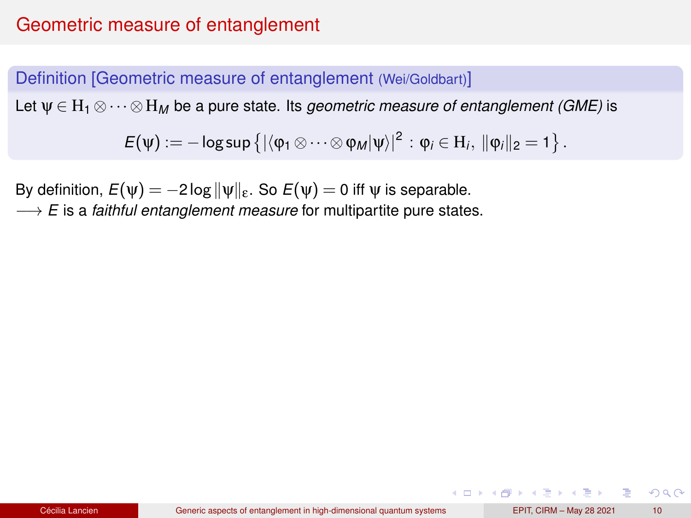## Geometric measure of entanglement

#### Definition [Geometric measure of entanglement (Wei/Goldbart)]

Let ψ ∈ H<sup>1</sup> ⊗··· ⊗H*<sup>M</sup>* be a pure state. Its *geometric measure of entanglement (GME)* is

 $\mathsf{E}(\mathsf{\Psi}) := -\log \sup \left\{|\langle \mathsf{\phi}_1 \otimes \cdots \otimes \mathsf{\phi}_M|\mathsf{\Psi}\rangle|^2: \mathsf{\phi}_i \in \mathrm{H}_i, \ \|\mathsf{\phi}_i\|_2 = 1 \right\}.$ 

By definition,  $E(\psi) = -2\log \|\psi\|_{\varepsilon}$ . So  $E(\psi) = 0$  iff  $\psi$  is separable.

−→ *E* is a *faithful entanglement measure* for multipartite pure states.

 $2Q$ 

イロト イ母 トイヨ トイヨ トーヨー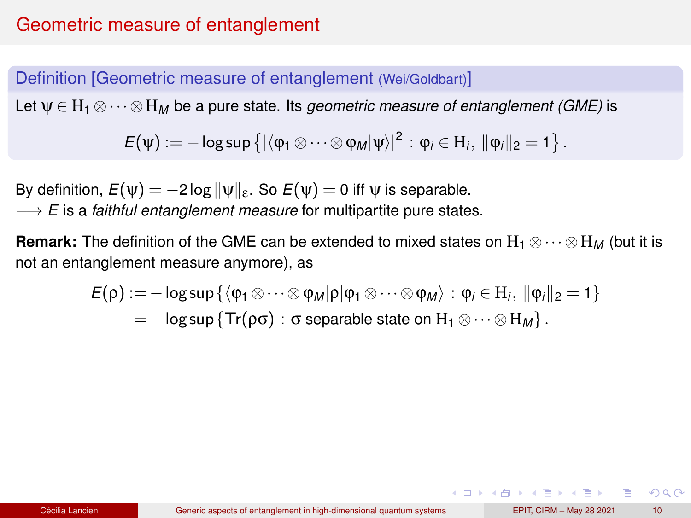## Geometric measure of entanglement

#### Definition [Geometric measure of entanglement (Wei/Goldbart)]

Let ψ ∈ H<sup>1</sup> ⊗··· ⊗H*<sup>M</sup>* be a pure state. Its *geometric measure of entanglement (GME)* is

 $\mathsf{E}(\mathsf{\Psi}) := -\log \sup \left\{|\langle \mathsf{\phi}_1 \otimes \cdots \otimes \mathsf{\phi}_M|\mathsf{\Psi}\rangle|^2: \mathsf{\phi}_i \in \mathrm{H}_i, \ \|\mathsf{\phi}_i\|_2 = 1 \right\}.$ 

By definition,  $E(\psi) = -2\log \|\psi\|_{\varepsilon}$ . So  $E(\psi) = 0$  iff  $\psi$  is separable.

−→ *E* is a *faithful entanglement measure* for multipartite pure states.

**Remark:** The definition of the GME can be extended to mixed states on  $H_1 \otimes \cdots \otimes H_M$  (but it is not an entanglement measure anymore), as

$$
E(\rho) := -\log \sup \{ \langle \phi_1 \otimes \cdots \otimes \phi_M | \rho | \phi_1 \otimes \cdots \otimes \phi_M \rangle : \phi_i \in H_i, ||\phi_i||_2 = 1 \}
$$
  
= 
$$
-\log \sup \{ Tr(\rho \sigma) : \sigma \text{ separable state on } H_1 \otimes \cdots \otimes H_M \}.
$$

 $2Q$ 

イロト イ母 トイヨ トイヨ トーヨー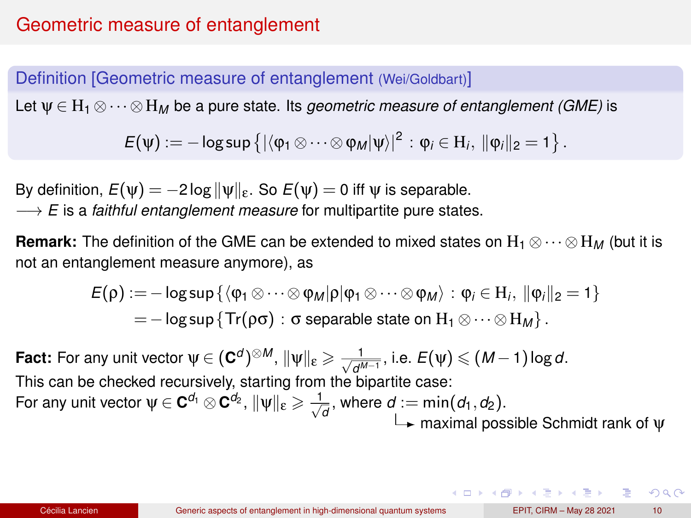### Definition [Geometric measure of entanglement (Wei/Goldbart)]

Let ψ ∈ H<sup>1</sup> ⊗··· ⊗H*<sup>M</sup>* be a pure state. Its *geometric measure of entanglement (GME)* is

 $\mathsf{E}(\mathsf{\Psi}) := -\log \sup \left\{ |\langle \mathsf{\phi}_1 \otimes \cdots \otimes \mathsf{\phi}_M | \mathsf{\Psi} \rangle|^2 \, : \mathsf{\phi}_i \in \mathrm{H}_i, \ \| \mathsf{\phi}_i \|_2 = 1 \right\}.$ 

By definition,  $E(\psi) = -2\log \|\psi\|_{\varepsilon}$ . So  $E(\psi) = 0$  iff  $\psi$  is separable.

−→ *E* is a *faithful entanglement measure* for multipartite pure states.

**Remark:** The definition of the GME can be extended to mixed states on  $H_1 \otimes \cdots \otimes H_M$  (but it is not an entanglement measure anymore), as

$$
E(\rho) := -\log \sup \{ \langle \phi_1 \otimes \cdots \otimes \phi_M | \rho | \phi_1 \otimes \cdots \otimes \phi_M \rangle : \phi_i \in H_i, ||\phi_i||_2 = 1 \}
$$
  
= 
$$
-\log \sup \{ Tr(\rho \sigma) : \sigma \text{ separable state on } H_1 \otimes \cdots \otimes H_M \}.
$$

**Fact:** For any unit vector  $\psi \in (\mathbf{C}^d)^{\otimes M}$ ,  $\|\psi\|_{\mathbf{\epsilon}} \geqslant \frac{1}{\sqrt{d^{M-1}}}$ , i.e.  $E(\psi) \leqslant (M-1)\log d$ . This can be checked recursively, starting from the bipartite case: For any unit vector  $\psi \in \mathbf{C}^{d_1}\otimes \mathbf{C}^{d_2}, \, \|\psi\|_{\mathbf{\epsilon}} \geqslant \frac{1}{\sqrt{d}},$  where  $d:=\min(d_1,d_2).$  $\rightarrow$  maximal possible Schmidt rank of  $\psi$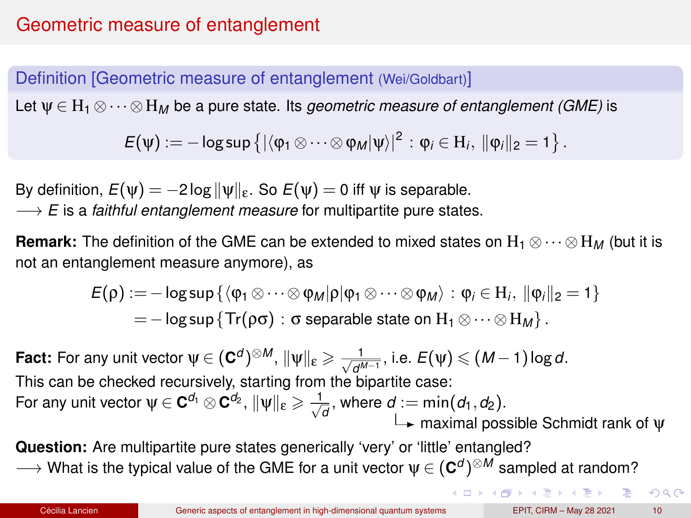<span id="page-20-0"></span>Definition [Geometric measure of entanglement (Wei/Goldbart)]

Let ψ ∈ H<sup>1</sup> ⊗··· ⊗H*<sup>M</sup>* be a pure state. Its *geometric measure of entanglement (GME)* is

 $\mathsf{E}(\mathsf{\Psi}) := -\log \sup \left\{ |\langle \mathsf{\phi}_1 \otimes \cdots \otimes \mathsf{\phi}_M | \mathsf{\Psi} \rangle|^2 \, : \mathsf{\phi}_i \in \mathrm{H}_i, \ \| \mathsf{\phi}_i \|_2 = 1 \right\}.$ 

By definition,  $E(\psi) = -2\log \|\psi\|_{\varepsilon}$ . So  $E(\psi) = 0$  iff  $\psi$  is separable.

−→ *E* is a *faithful entanglement measure* for multipartite pure states.

**Remark:** The definition of the GME can be extended to mixed states on  $H_1 \otimes \cdots \otimes H_M$  (but it is not an entanglement measure anymore), as

$$
E(\rho) := -\log \sup \{ \langle \phi_1 \otimes \cdots \otimes \phi_M | \rho | \phi_1 \otimes \cdots \otimes \phi_M \rangle : \phi_i \in H_i, ||\phi_i||_2 = 1 \}
$$
  
= 
$$
-\log \sup \{ Tr(\rho \sigma) : \sigma \text{ separable state on } H_1 \otimes \cdots \otimes H_M \}.
$$

**Fact:** For any unit vector  $\psi \in (\mathbf{C}^d)^{\otimes M}$ ,  $\|\psi\|_{\mathbf{\epsilon}} \geqslant \frac{1}{\sqrt{d^{M-1}}}$ , i.e.  $E(\psi) \leqslant (M-1)\log d$ . This can be checked recursively, starting from the bipartite case: For any unit vector  $\psi \in \mathbf{C}^{d_1}\otimes \mathbf{C}^{d_2}, \, \|\psi\|_{\mathbf{\epsilon}} \geqslant \frac{1}{\sqrt{d}},$  where  $d:=\min(d_1,d_2).$  $\rightarrow$  maximal possible Schmidt rank of  $\Psi$ 

**Question:** Are multipartite pure states generically 'very' or 'little' entangled?

 $\longrightarrow$  What is the typical value of the GME for a unit vector  $ψ ∈ (C<sup>d</sup>)<sup>⊗M</sup>$  sampled at random?

 $299$ 

 $($  ロ )  $($   $\theta$  )  $($   $\theta$   $)$   $($   $\theta$   $)$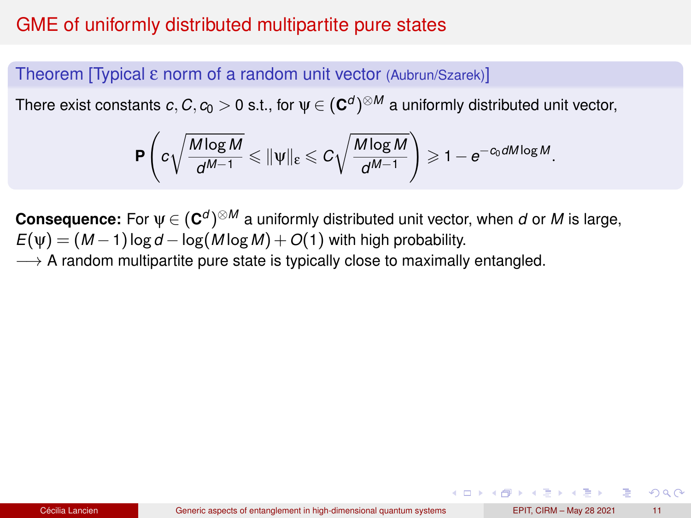## <span id="page-21-0"></span>GME of uniformly distributed multipartite pure states

#### Theorem [Typical ε norm of a random unit vector (Aubrun/Szarek)]

There exist constants  $c, C, c_0 > 0$  s.t., for  $\psi \in (\mathbf{C}^d)^{\otimes M}$  a uniformly distributed unit vector,

$$
\mathbf{P}\left(c\sqrt{\frac{M\log M}{d^{M-1}}}\leqslant \|\psi\|_{\epsilon}\leqslant C\sqrt{\frac{M\log M}{d^{M-1}}}\right)\geqslant 1-e^{-c_0dM\log M}.
$$

**Consequence:** For  $\psi \in (C^d)^{\otimes M}$  a uniformly distributed unit vector, when *d* or *M* is large,  $E(\psi) = (M-1)\log d - \log(M\log M) + O(1)$  with high probability.

 $\rightarrow$  A random multipartite pure state is typically close to maximally entangled.

KID KA KED KED E VOQO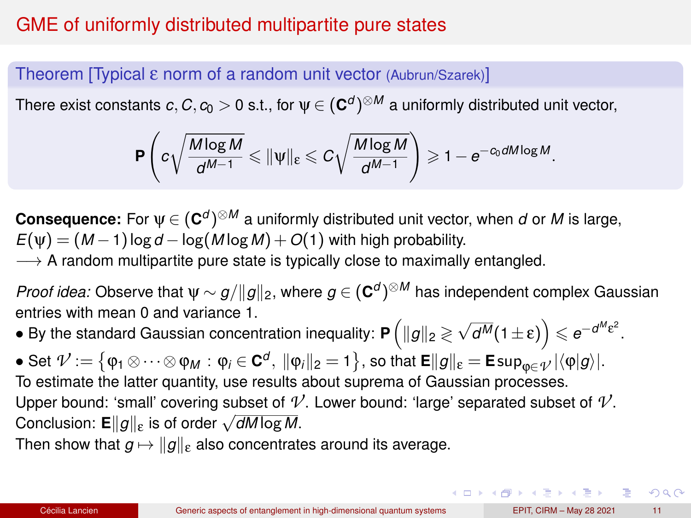## <span id="page-22-0"></span>GME of uniformly distributed multipartite pure states

### Theorem [Typical ε norm of a random unit vector (Aubrun/Szarek)]

There exist constants  $c, C, c_0 > 0$  s.t., for  $\psi \in (\mathbf{C}^d)^{\otimes M}$  a uniformly distributed unit vector,

$$
\mathbf{P}\left(c\sqrt{\frac{M\log M}{d^{M-1}}}\leqslant \|\psi\|_{\epsilon}\leqslant C\sqrt{\frac{M\log M}{d^{M-1}}}\right)\geqslant 1-e^{-c_0dM\log M}.
$$

**Consequence:** For  $\psi \in (C^d)^{\otimes M}$  a uniformly distributed unit vector, when *d* or *M* is large,  $E(\psi) = (M-1)\log d - \log(M\log M) + O(1)$  with high probability.  $\rightarrow$  A random multipartite pure state is typically close to maximally entangled.

*Proof idea:* Observe that  $\psi \sim g/\|g\|_2$ , where  $g \in (\mathbf{C}^d)^{\otimes M}$  has independent complex Gaussian entries with mean 0 and variance 1.

 $\bullet$  By the standard Gaussian concentration inequality: **P**  $\left( \Vert g \Vert_2 \gtrless \sqrt{d^M} (1 \pm \varepsilon) \right) \leqslant e^{-d^M \varepsilon^2}.$ 

 $\bullet$  Set  $\mathcal{V}:=\big\{\mathfrak{\phi}_1\otimes\cdots\otimes\mathfrak{\phi}_M:\mathfrak{\phi}_i\in\mathbf{C}^d,\ \|\mathfrak{\phi}_i\|_2=1\big\},$  so that  $\mathsf{E}\|g\|_{\mathsf{\mathcal{E}}}=\mathsf{E}\sup_{\mathfrak{\phi}\in\mathcal{\mathcal{V}}}|\langle\mathfrak{\phi}|g\rangle|.$ To estimate the latter quantity, use results about suprema of Gaussian processes. Upper bound: 'small' covering subset of  $\mathcal{V}$ . Lower bound: 'large' separated subset of  $\mathcal{V}$ . Conclusion: **<sup>E</sup>**k*g*k<sup>ε</sup> is of order <sup>√</sup> *dM* log *M*.

Then show that  $g \mapsto \|g\|_{\varepsilon}$  also concentrates around its average.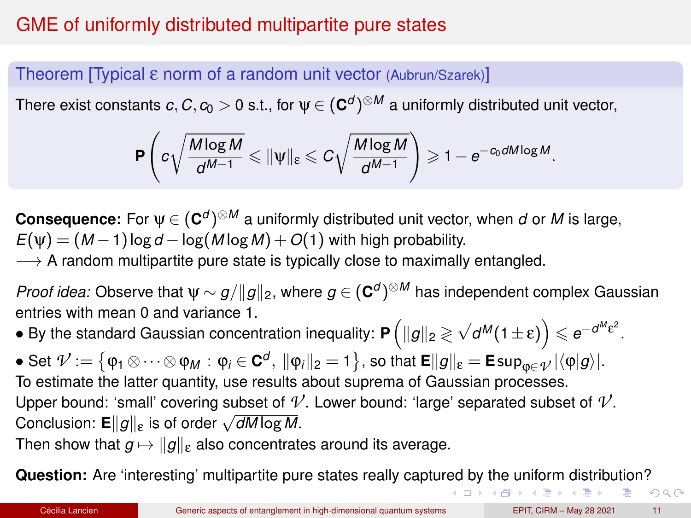# <span id="page-23-0"></span>GME of uniformly distributed multipartite pure states

### Theorem [Typical ε norm of a random unit vector (Aubrun/Szarek)]

There exist constants  $c, C, c_0 > 0$  s.t., for  $\psi \in (\mathbf{C}^d)^{\otimes M}$  a uniformly distributed unit vector,

$$
\mathbf{P}\left(c\sqrt{\frac{M\log M}{d^{M-1}}}\leqslant \|\psi\|_{\epsilon}\leqslant C\sqrt{\frac{M\log M}{d^{M-1}}}\right)\geqslant 1-e^{-c_0dM\log M}.
$$

**Consequence:** For  $\psi \in (C^d)^{\otimes M}$  a uniformly distributed unit vector, when *d* or *M* is large,  $E(\psi) = (M-1)\log d - \log(M\log M) + O(1)$  with high probability.

 $\rightarrow$  A random multipartite pure state is typically close to maximally entangled.

*Proof idea:* Observe that  $\psi \sim g/\|g\|_2$ , where  $g \in (\mathbf{C}^d)^{\otimes M}$  has independent complex Gaussian entries with mean 0 and variance 1.

 $\bullet$  By the standard Gaussian concentration inequality: **P**  $\left( \Vert g \Vert_2 \gtrless \sqrt{d^M} (1 \pm \varepsilon) \right) \leqslant e^{-d^M \varepsilon^2}.$ 

 $\bullet$  Set  $\mathcal{V}:=\big\{\mathfrak{\phi}_1\otimes\cdots\otimes\mathfrak{\phi}_M:\mathfrak{\phi}_i\in\mathbf{C}^d,\ \|\mathfrak{\phi}_i\|_2=1\big\},$  so that  $\mathsf{E}\|g\|_{\mathsf{\mathcal{E}}}=\mathsf{E}\sup_{\mathfrak{\phi}\in\mathcal{\mathcal{V}}}|\langle\mathfrak{\phi}|g\rangle|.$ To estimate the latter quantity, use results about suprema of Gaussian processes. Upper bound: 'small' covering subset of  $\mathcal{V}$ . Lower bound: 'large' separated subset of  $\mathcal{V}$ . Conclusion: **<sup>E</sup>**k*g*k<sup>ε</sup> is of order <sup>√</sup> *dM* log *M*.

Then show that  $g \mapsto \|g\|_{\varepsilon}$  also concentrates around its average.

**Question:** Are 'interesting' multipartite pure states really captu[red](#page-22-0) [by](#page-24-0) [th](#page-20-0)[e](#page-21-0)[un](#page-24-0)[if](#page-10-0)[o](#page-11-0)[r](#page-23-0)[m](#page-24-0) [d](#page-9-0)[is](#page-10-0)[tr](#page-36-0)[ib](#page-37-0)[uti](#page-0-0)[on?](#page-56-0)

 $299$ 

イロト (倒) イミドイミドー ミ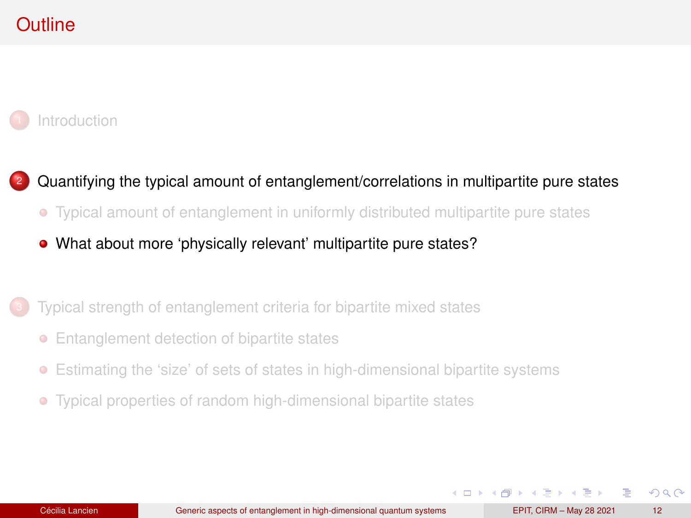# <span id="page-24-0"></span>**Outline**

#### **[Introduction](#page-1-0)**

### <sup>2</sup> [Quantifying the typical amount of entanglement/correlations in multipartite pure states](#page-10-0)

[Typical amount of entanglement in uniformly distributed multipartite pure states](#page-11-0)

#### [What about more 'physically relevant' multipartite pure states?](#page-24-0)

#### [Typical strength of entanglement criteria for bipartite mixed states](#page-37-0)

- [Entanglement detection of bipartite states](#page-38-0)
- $\bullet$ [Estimating the 'size' of sets of states in high-dimensional bipartite systems](#page-47-0)
- [Typical properties of random high-dimensional bipartite states](#page-51-0)  $\bullet$

 $\Omega$ 

イロト イ押ト イヨト イヨト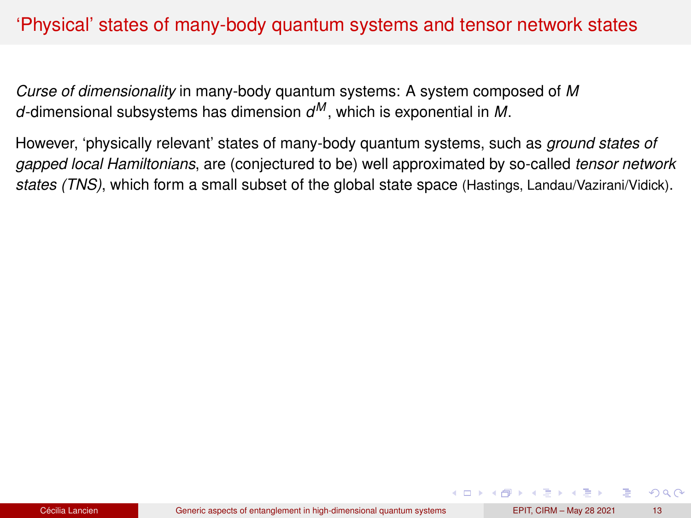## 'Physical' states of many-body quantum systems and tensor network states

*Curse of dimensionality* in many-body quantum systems: A system composed of *M d*-dimensional subsystems has dimension *d <sup>M</sup>* , which is exponential in *M*.

However, 'physically relevant' states of many-body quantum systems, such as *ground states of gapped local Hamiltonians*, are (conjectured to be) well approximated by so-called *tensor network states (TNS)*, which form a small subset of the global state space (Hastings, Landau/Vazirani/Vidick).

 $QQ$ 

( ロ ) ( 何 ) ( ヨ ) ( ヨ )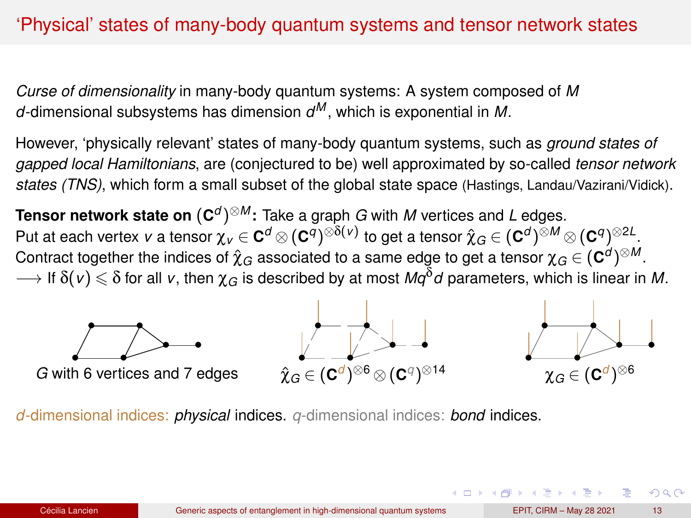## 'Physical' states of many-body quantum systems and tensor network states

*Curse of dimensionality* in many-body quantum systems: A system composed of *M d*-dimensional subsystems has dimension *d <sup>M</sup>* , which is exponential in *M*.

However, 'physically relevant' states of many-body quantum systems, such as *ground states of gapped local Hamiltonians*, are (conjectured to be) well approximated by so-called *tensor network states (TNS)*, which form a small subset of the global state space (Hastings, Landau/Vazirani/Vidick).

**Tensor network state on** (**C** *d* ) <sup>⊗</sup>*<sup>M</sup>* **:** Take a graph *G* with *M* vertices and *L* edges. Put at each vertex *v* a tensor  $\chi_v\in{\mathbf C}^d\otimes({\mathbf C}^q)^{\otimes\delta(v)}$  to get a tensor  $\hat{\chi}_G\in({\mathbf C}^d)^{\otimes M}\otimes({\mathbf C}^q)^{\otimes2L}.$ Contract together the indices of  $\hat{\chi}_G$  associated to a same edge to get a tensor  $\chi_G\in(\mathbf{C}^d)^{\otimes M}.$  $\rightarrow$  If  $\delta(v) \leq \delta$  for all v, then  $\chi_G$  is described by at most  $Mq^{\delta}d$  parameters, which is linear in M.



*d*-dimensional indices: *physical* indices. *q*-dimensional indices: *bond* indices.

 $\Omega$ 

( ロ ) ( 何 ) ( ヨ ) ( ヨ )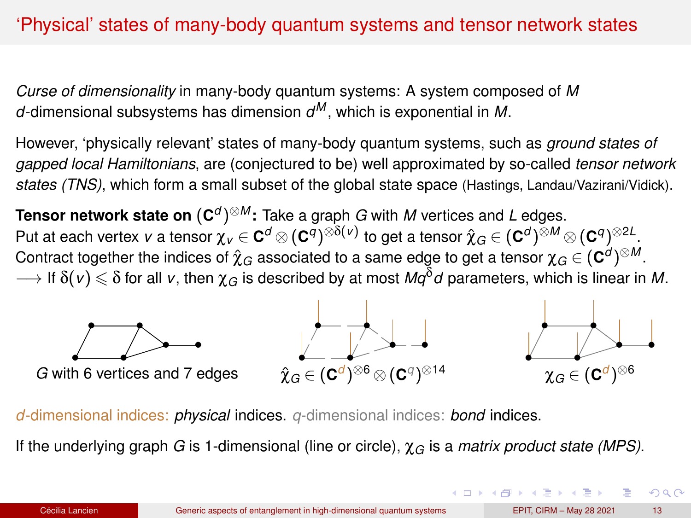# 'Physical' states of many-body quantum systems and tensor network states

*Curse of dimensionality* in many-body quantum systems: A system composed of *M d*-dimensional subsystems has dimension *d <sup>M</sup>* , which is exponential in *M*.

However, 'physically relevant' states of many-body quantum systems, such as *ground states of gapped local Hamiltonians*, are (conjectured to be) well approximated by so-called *tensor network states (TNS)*, which form a small subset of the global state space (Hastings, Landau/Vazirani/Vidick).

**Tensor network state on** (**C** *d* ) <sup>⊗</sup>*<sup>M</sup>* **:** Take a graph *G* with *M* vertices and *L* edges. Put at each vertex *v* a tensor  $\chi_v\in{\mathbf C}^d\otimes({\mathbf C}^q)^{\otimes\delta(v)}$  to get a tensor  $\hat{\chi}_G\in({\mathbf C}^d)^{\otimes M}\otimes({\mathbf C}^q)^{\otimes2L}.$ Contract together the indices of  $\hat{\chi}_G$  associated to a same edge to get a tensor  $\chi_G\in(\mathbf{C}^d)^{\otimes M}.$  $\rightarrow$  If  $\delta(v) \leq \delta$  for all v, then  $\chi_G$  is described by at most  $Mq^{\delta}d$  parameters, which is linear in M.



*d*-dimensional indices: *physical* indices. *q*-dimensional indices: *bond* indices.

If the underlying graph *G* is 1-dimensional (line or circle), χ*<sup>G</sup>* is a *matrix product state (MPS)*.

 $\Omega$ 

4 ロ ト 4 何 ト 4 ヨ ト 4 ヨ ト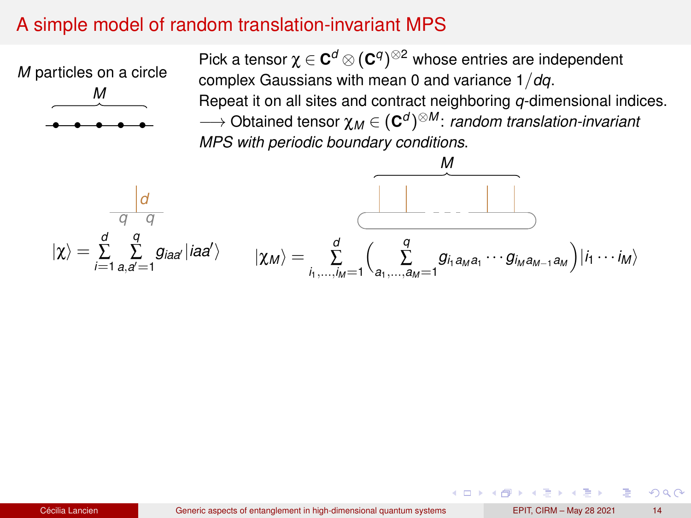## A simple model of random translation-invariant MPS

*M* particles on a circle



Pick a tensor  $\chi \in \mathbf{C}^d \otimes (\mathbf{C}^q)^{\otimes 2}$  whose entries are independent complex Gaussians with mean 0 and variance 1/*dq*. Repeat it on all sites and contract neighboring *q*-dimensional indices. −→ Obtained tensor χ*<sup>M</sup>* ∈ (**C** *d* ) <sup>⊗</sup>*<sup>M</sup>* : *random translation-invariant MPS with periodic boundary conditions*.



 $\Omega$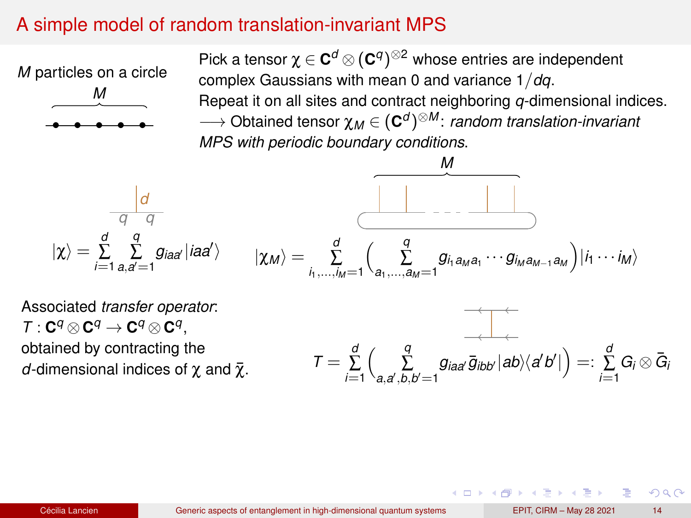## A simple model of random translation-invariant MPS

*M* particles on a circle



Pick a tensor  $\chi \in \mathbf{C}^d \otimes (\mathbf{C}^q)^{\otimes 2}$  whose entries are independent complex Gaussians with mean 0 and variance 1/*dq*. Repeat it on all sites and contract neighboring *q*-dimensional indices. −→ Obtained tensor χ*<sup>M</sup>* ∈ (**C** *d* ) <sup>⊗</sup>*<sup>M</sup>* : *random translation-invariant MPS with periodic boundary conditions*.

$$
|\chi\rangle = \sum_{i=1}^{d} \sum_{a,a'=1}^{q} g_{iaa'} |iaa'\rangle
$$

$$
|\chi_{M}\rangle = \sum_{i_{1},...,i_{M}=1}^{d} \left(\sum_{a_{1},...,a_{M}=1}^{q} g_{i_{1}a_{M}a_{1}} \cdots g_{i_{M}a_{M-1}a_{M}}\right) |i_{1} \cdots i_{M}\rangle
$$

Associated *transfer operator*:  $\mathcal{T}: \mathbf{C}^q \otimes \mathbf{C}^q \to \mathbf{C}^q \otimes \mathbf{C}^q,$ obtained by contracting the *d*-dimensional indices of  $χ$  and  $\bar{χ}$ .

$$
\mathcal{T} = \sum_{i=1}^d \left( \sum_{a,a',b,b'=1}^q g_{iaa'} \overline{g}_{ibb'} |ab\rangle \langle a'b'| \right) =: \sum_{i=1}^d G_i \otimes \overline{G}_i
$$

 $\Omega$ 

( ロ ) ( 何 ) ( ヨ ) ( ヨ )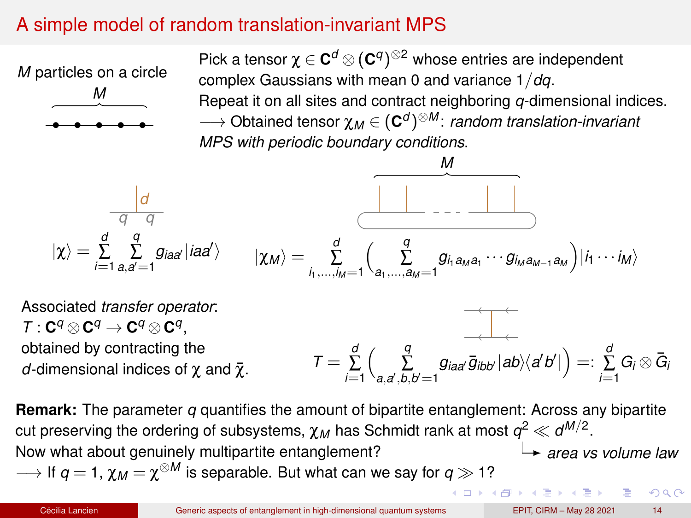## A simple model of random translation-invariant MPS

*M* particles on a circle



Pick a tensor  $\chi \in \mathbf{C}^d \otimes (\mathbf{C}^q)^{\otimes 2}$  whose entries are independent complex Gaussians with mean 0 and variance 1/*dq*. Repeat it on all sites and contract neighboring *q*-dimensional indices. −→ Obtained tensor χ*<sup>M</sup>* ∈ (**C** *d* ) <sup>⊗</sup>*<sup>M</sup>* : *random translation-invariant MPS with periodic boundary conditions*.

$$
M
$$
\n
$$
|\chi\rangle = \sum_{i=1}^{d} \sum_{a,a'=1}^{q} g_{iaa'} |iaa'\rangle
$$
\n
$$
|\chi_{M}\rangle = \sum_{i_{1},...,i_{M}=1}^{d} \left(\sum_{a_{1},...,a_{M}=1}^{q} g_{i_{1}a_{M}a_{1}} \cdots g_{i_{M}a_{M-1}a_{M}}\right) |i_{1} \cdots i_{M}\rangle
$$

Associated *transfer operator*:  $\mathcal{T}: \mathbf{C}^q \otimes \mathbf{C}^q \to \mathbf{C}^q \otimes \mathbf{C}^q,$ obtained by contracting the *d*-dimensional indices of  $\chi$  and  $\bar{\chi}$ .  $T = \sum_{i=1}^d$  $\left(\sum_{a,a',b,b'=1}^q g_{iaa'}\overline{g}_{ibb'}|ab\rangle\langle a'b'|\right) =: \sum_{i=1}^d G_i \otimes \overline{G}_i$ 

**Remark:** The parameter *q* quantifies the amount of bipartite entanglement: Across any bipartite cut preserving the ordering of subsystems,  $\chi_M$  has Schmidt rank at most  $q^2 \ll d^{M/2}.$ Now what about genuinely multipartite entanglement? *area vs volume law*  $\longrightarrow$  If  $q=$  1,  $\chi_{M}$   $=$   $\chi^{\otimes M}$  is separable. But what can we say for  $q\gg$  1?  $\Box \rightarrow \Box \Box \rightarrow \Box \rightarrow \Box \Box \rightarrow \Box \Box$  $2990$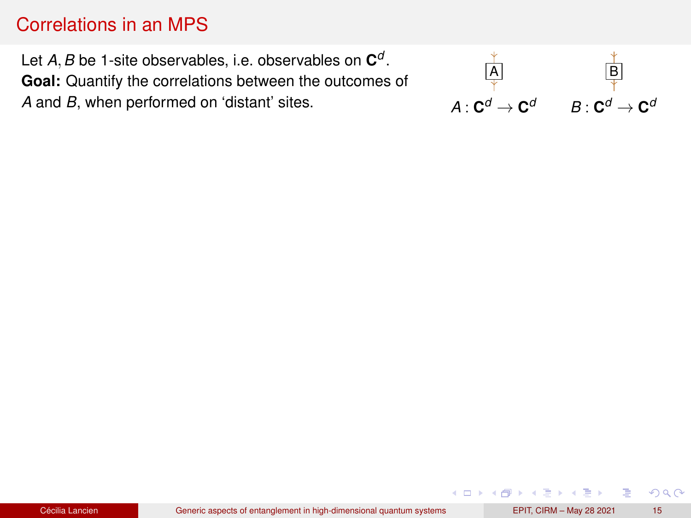# Correlations in an MPS

Let *A*,*B* be 1-site observables, i.e. observables on **C** *d* . **Goal:** Quantify the correlations between the outcomes of *A* and *B*, when performed on 'distant' sites.



イロト (個) (注) (注)

 $299$ 

÷.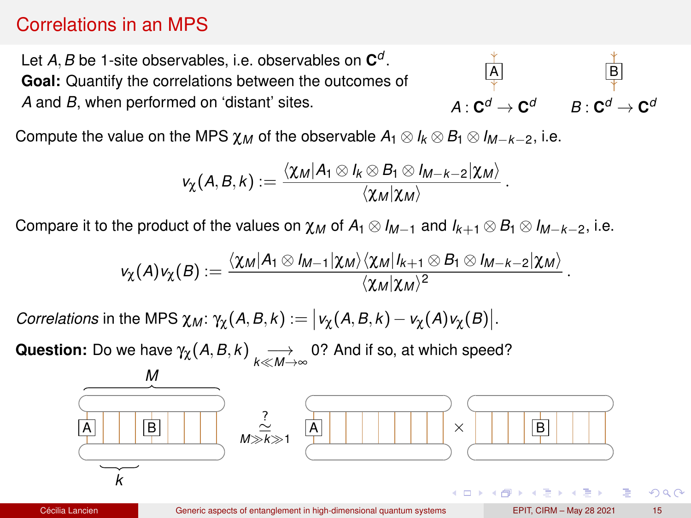## Correlations in an MPS

Let *A*,*B* be 1-site observables, i.e. observables on **C** *d* . **Goal:** Quantify the correlations between the outcomes of *A* and *B*, when performed on 'distant' sites.



.

.

Compute the value on the MPS  $\chi_M$  of the observable  $A_1 \otimes I_k \otimes B_1 \otimes I_{M-k-2}$ , i.e.

$$
\nu_{\chi}(A,B,k):=\frac{\langle \chi_M | A_1 \otimes I_k \otimes B_1 \otimes I_{M-k-2} | \chi_M \rangle}{\langle \chi_M | \chi_M \rangle}
$$

Compare it to the product of the values on  $\chi_M$  of  $A_1 \otimes I_{M-1}$  and  $I_{k+1} \otimes B_1 \otimes I_{M-k-2}$ , i.e.

$$
v_{\chi}(A)v_{\chi}(B):=\frac{\langle \chi_M | A_1 \otimes I_{M-1} | \chi_M \rangle \langle \chi_M | I_{k+1} \otimes B_1 \otimes I_{M-k-2} | \chi_M \rangle}{\langle \chi_M | \chi_M \rangle^2}
$$

*Correlations* in the MPS  $\chi_M$ :  $\gamma_\chi(A, B, k) := |v_\chi(A, B, k) - v_\chi(A)v_\chi(B)|$ .

**Question:** Do we have  $\gamma_\chi(A, B, k) \longrightarrow_{k \ll M \to \infty} 0$ ? And if so, at which speed?



 $\Omega$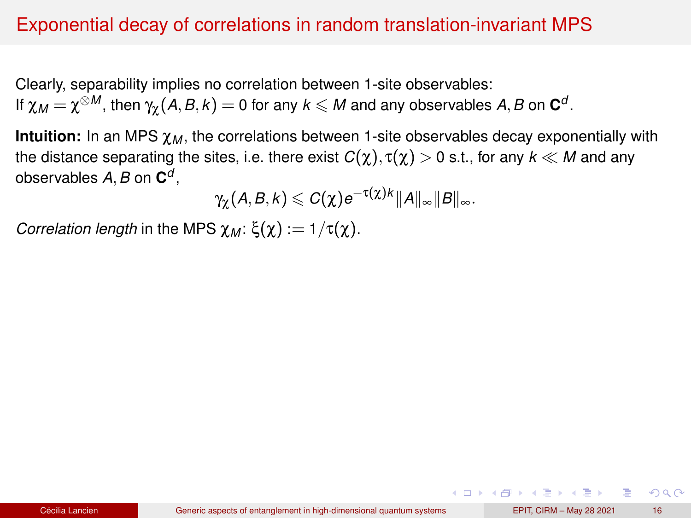## Exponential decay of correlations in random translation-invariant MPS

Clearly, separability implies no correlation between 1-site observables: If  $\chi_{M}=\chi^{\otimes M}$ , then  $\gamma_{\chi}(A,B,k)=0$  for any  $k\leqslant M$  and any observables  $A,B$  on  $\mathbf{C}^{d}.$ 

**Intuition:** In an MPS  $\chi_M$ , the correlations between 1-site observables decay exponentially with the distance separating the sites, i.e. there exist  $C(\chi)$ ,  $\tau(\chi) > 0$  s.t., for any  $k \ll M$  and any observables *A*,*B* on **C** *d* ,

 $\gamma_\chi(A,B,k) \leqslant C(\chi) e^{-\tau(\chi)k} \|A\|_\infty \|B\|_\infty.$ 

*Correlation length* in the MPS  $χ_M$ :  $ξ(χ) := 1/τ(χ)$ .

KOD KARD KED KEL YANG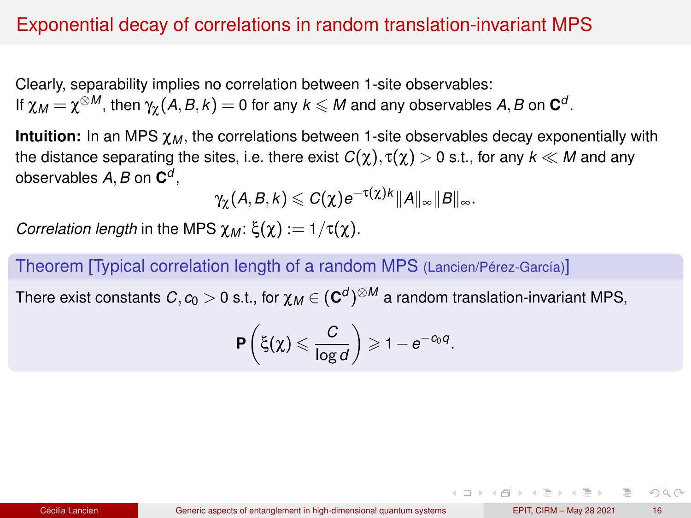## Exponential decay of correlations in random translation-invariant MPS

Clearly, separability implies no correlation between 1-site observables: If  $\chi_{M}=\chi^{\otimes M}$ , then  $\gamma_{\chi}(A,B,k)=0$  for any  $k\leqslant M$  and any observables  $A,B$  on  $\mathbf{C}^{d}.$ 

**Intuition:** In an MPS  $\chi_M$ , the correlations between 1-site observables decay exponentially with the distance separating the sites, i.e. there exist  $C(\chi)$ ,  $\tau(\chi) > 0$  s.t., for any  $k \ll M$  and any observables *A*,*B* on **C** *d* ,

$$
\gamma_{\chi}(A,B,k)\leqslant C(\chi)e^{-\tau(\chi)k}\|A\|_{\infty}\|B\|_{\infty}.
$$

*Correlation length* in the MPS  $χ_M$ :  $ξ(χ) := 1/τ(χ)$ .

Theorem [Typical correlation length of a random MPS (Lancien/Pérez-García)]

There exist constants  $C, c_0 > 0$  s.t., for  $\chi_M \in (\mathbf{C}^d)^{\otimes M}$  a random translation-invariant MPS,

$$
\mathbf{P}\left(\xi(\chi)\leqslant \frac{C}{\log d}\right)\geqslant 1-e^{-c_0q}.
$$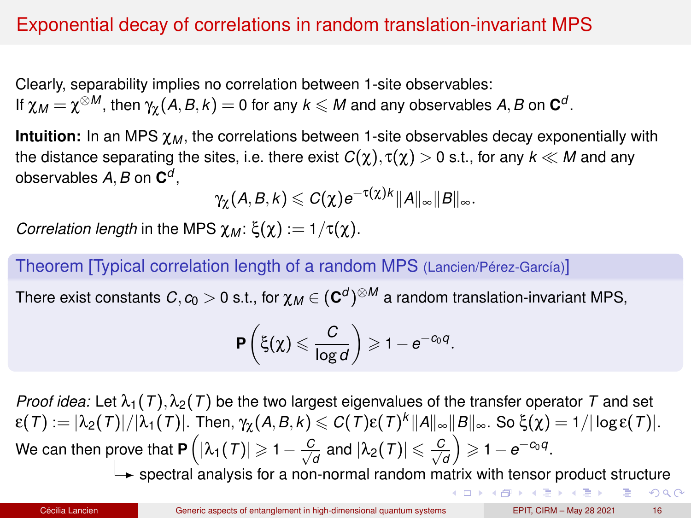# Exponential decay of correlations in random translation-invariant MPS

Clearly, separability implies no correlation between 1-site observables: If  $\chi_{M}=\chi^{\otimes M}$ , then  $\gamma_{\chi}(A,B,k)=0$  for any  $k\leqslant M$  and any observables  $A,B$  on  $\mathbf{C}^{d}.$ 

**Intuition:** In an MPS  $\chi_M$ , the correlations between 1-site observables decay exponentially with the distance separating the sites, i.e. there exist  $C(\chi)$ ,  $\tau(\chi) > 0$  s.t., for any  $k \ll M$  and any observables *A*,*B* on **C** *d* ,

$$
\gamma_{\chi}(A,B,k)\leqslant C(\chi)e^{-\tau(\chi)k}\|A\|_{\infty}\|B\|_{\infty}.
$$

*Correlation length* in the MPS  $χ_M$ :  $ξ(χ) := 1/τ(χ)$ .

Theorem [Typical correlation length of a random MPS (Lancien/Pérez-García)]

There exist constants  $C, c_0 > 0$  s.t., for  $\chi_M \in (\mathbf{C}^d)^{\otimes M}$  a random translation-invariant MPS,

$$
\mathbf{P}\left(\xi(\chi)\leqslant \frac{C}{\log d}\right)\geqslant 1-e^{-C_0q}.
$$

*Proof idea:* Let  $\lambda_1(T)$ ,  $\lambda_2(T)$  be the two largest eigenvalues of the transfer operator T and set  $\epsilon(T):=|\lambda_2(\mathcal{T})|/|\lambda_1(\mathcal{T})|.$  Then,  $\gamma_\chi(A,B,k)\leqslant C(\mathcal{T})\epsilon(\mathcal{T})^k\|A\|_\infty\|B\|_\infty.$  So  $\xi(\chi)=1/|\log\epsilon(\mathcal{T})|.$ We can then prove that  $\mathbf{P}\left(|\lambda_1(T)| \geqslant 1-\frac{C}{\sqrt{2}}\right)$  $\frac{c}{d}$  and  $|\lambda_2(\mathcal{T})| \leqslant \frac{C}{\sqrt{d}}$  $\left(\frac{c}{d}\right) \geqslant 1-e^{-c_0q}.$  $\overleftrightarrow{\phantom{\text{m}}\,}$  spectral analysis for a non-normal random matrix with tensor product structure

 $2Q$ 

 $(0 \times 40 \times 40)$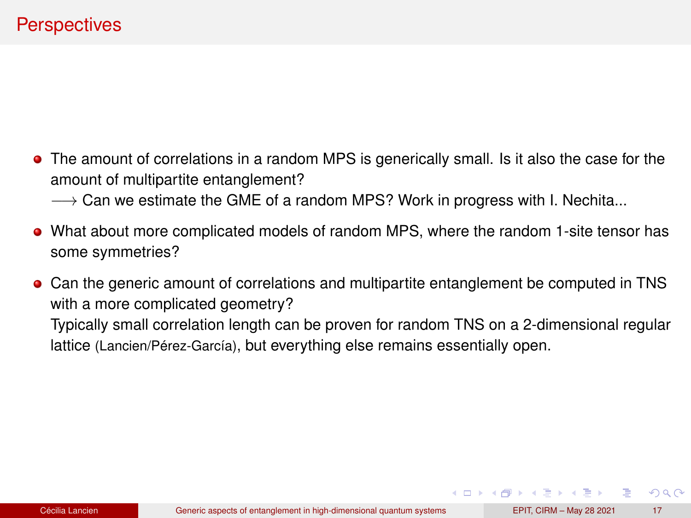- <span id="page-36-0"></span>The amount of correlations in a random MPS is generically small. Is it also the case for the amount of multipartite entanglement?
	- $\rightarrow$  Can we estimate the GME of a random MPS? Work in progress with I. Nechita...
- What about more complicated models of random MPS, where the random 1-site tensor has some symmetries?
- Can the generic amount of correlations and multipartite entanglement be computed in TNS with a more complicated geometry? Typically small correlation length can be proven for random TNS on a 2-dimensional regular lattice (Lancien/Pérez-García), but everything else remains essentially open.

 $QQ$ 

4 ロ ト 4 何 ト 4 ヨ ト 4 ヨ ト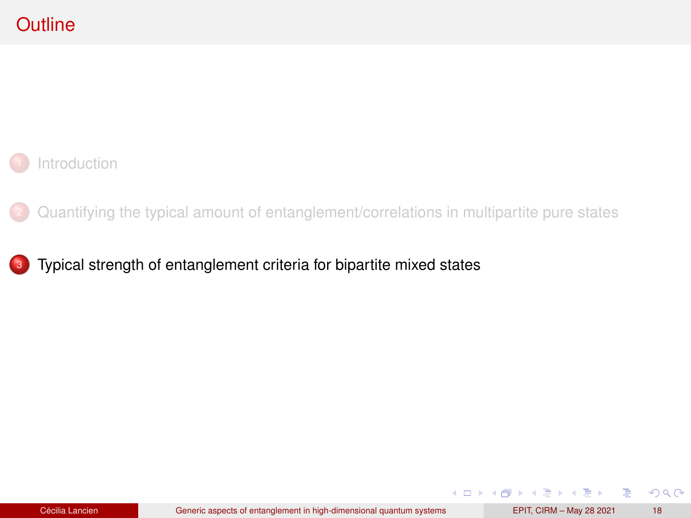<span id="page-37-0"></span>

<sup>2</sup> [Quantifying the typical amount of entanglement/correlations in multipartite pure states](#page-10-0)

3 [Typical strength of entanglement criteria for bipartite mixed states](#page-37-0)

 $299$ 

重

**K ロ ▶ K 御 ▶ K ヨ ▶ K ヨ ▶**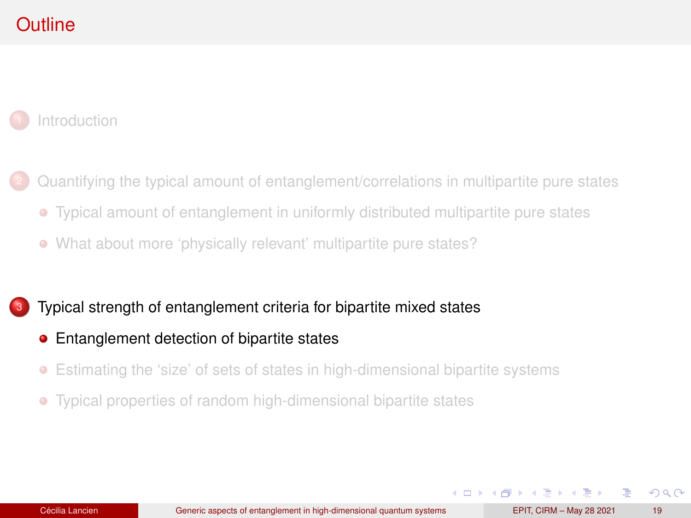# <span id="page-38-0"></span>**Outline**

**[Introduction](#page-1-0)** 

- <sup>2</sup> [Quantifying the typical amount of entanglement/correlations in multipartite pure states](#page-10-0)
	- [Typical amount of entanglement in uniformly distributed multipartite pure states](#page-11-0)
	- [What about more 'physically relevant' multipartite pure states?](#page-24-0)

[Typical strength of entanglement criteria for bipartite mixed states](#page-37-0)

- [Entanglement detection of bipartite states](#page-38-0)
- $\bullet$ [Estimating the 'size' of sets of states in high-dimensional bipartite systems](#page-47-0)
- [Typical properties of random high-dimensional bipartite states](#page-51-0)  $\bullet$

 $\Omega$ 

イロト イ押ト イヨト イヨト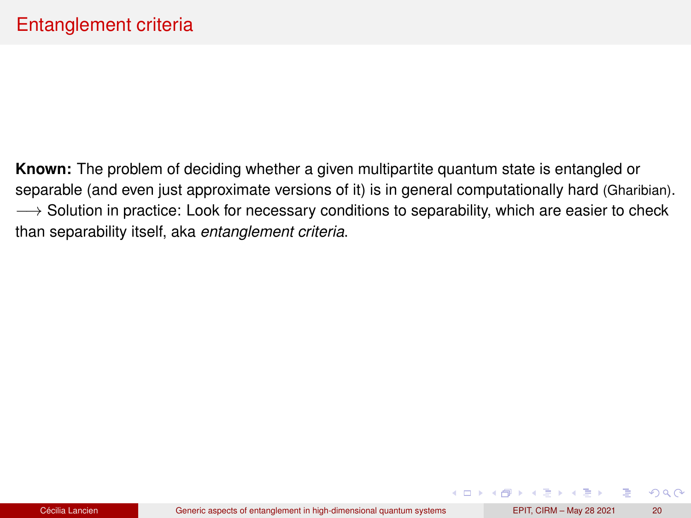**Known:** The problem of deciding whether a given multipartite quantum state is entangled or separable (and even just approximate versions of it) is in general computationally hard (Gharibian).  $\rightarrow$  Solution in practice: Look for necessary conditions to separability, which are easier to check than separability itself, aka *entanglement criteria*.

 $2Q$ 

K ロ ▶ K 御 ▶ K ヨ ▶ K ヨ ▶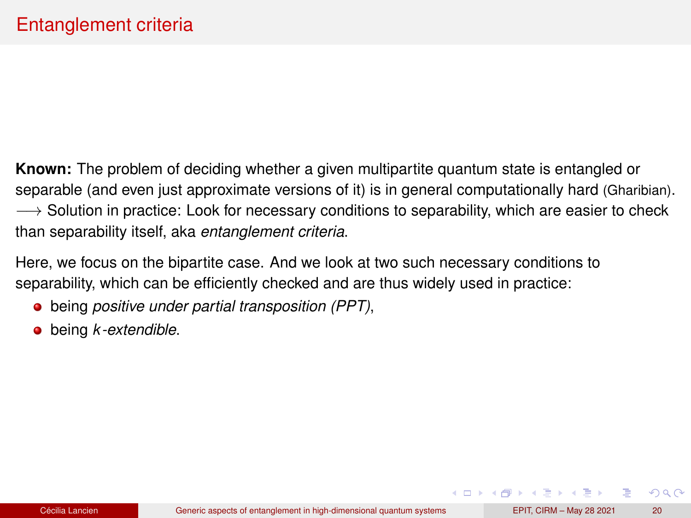**Known:** The problem of deciding whether a given multipartite quantum state is entangled or separable (and even just approximate versions of it) is in general computationally hard (Gharibian).  $\rightarrow$  Solution in practice: Look for necessary conditions to separability, which are easier to check than separability itself, aka *entanglement criteria*.

Here, we focus on the bipartite case. And we look at two such necessary conditions to separability, which can be efficiently checked and are thus widely used in practice:

- being *positive under partial transposition (PPT)*,
- being *k -extendible*.

 $2Q$ 

 $\mathbf{A} \cap \mathbf{B} \rightarrow \mathbf{A} \oplus \mathbf{B} \rightarrow \mathbf{A} \oplus \mathbf{B} \rightarrow \mathbf{A} \oplus \mathbf{B}$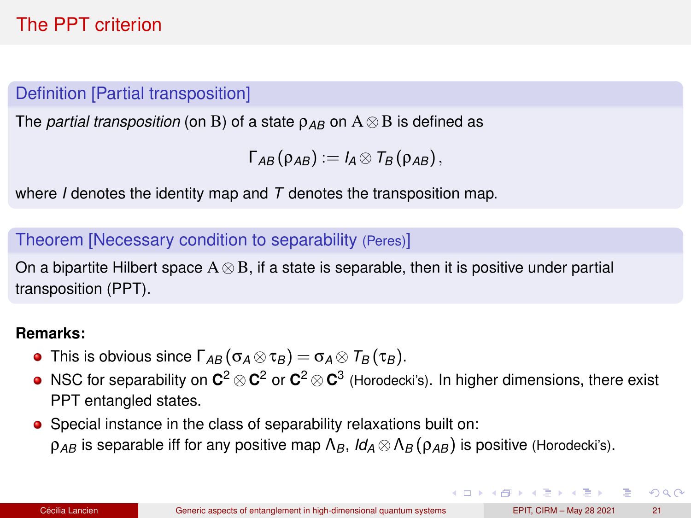# The PPT criterion

### Definition [Partial transposition]

The *partial transposition* (on B) of a state  $\rho_{AB}$  on  $A \otimes B$  is defined as

```
\Gamma_{AB}(\rho_{AB}) := I_A \otimes T_B(\rho_{AB}),
```
where *I* denotes the identity map and *T* denotes the transposition map.

#### Theorem [Necessary condition to separability (Peres)]

On a bipartite Hilbert space  $A \otimes B$ , if a state is separable, then it is positive under partial transposition (PPT).

#### **Remarks:**

- **•** This is obvious since  $\Gamma_{AB}(\sigma_A \otimes \tau_B) = \sigma_A \otimes \Gamma_B(\tau_B)$ .
- NSC for separability on **C** <sup>2</sup> ⊗**C** <sup>2</sup> or **C** <sup>2</sup> ⊗**C** 3 (Horodecki's). In higher dimensions, there exist PPT entangled states.
- Special instance in the class of separability relaxations built on: ρ*AB* is separable iff for any positive map Λ*B*, *Id<sup>A</sup>* ⊗Λ*<sup>B</sup>* (ρ*AB*) is positive (Horodecki's).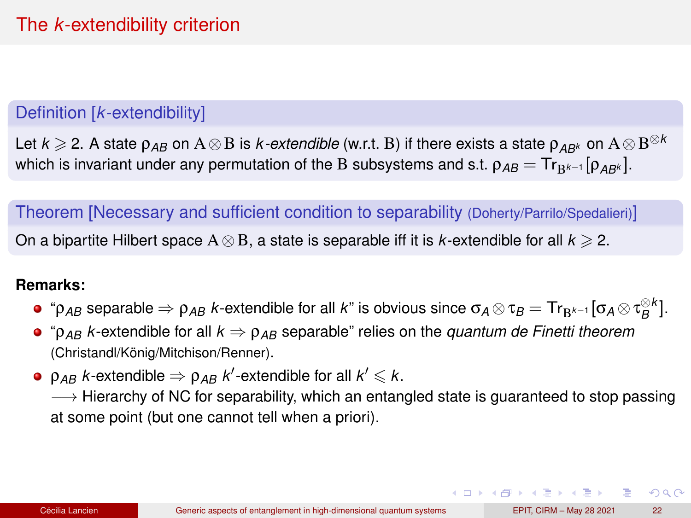### Definition [*k*-extendibility]

Let  $k\geqslant$  2. A state  $\rho_{AB}$  on  $\mathrm{A}\otimes\mathrm{B}$  is  $k$ -extendible (w.r.t.  $\mathrm{B})$  if there exists a state  $\rho_{AB^k}$  on  $\mathrm{A}\otimes\mathrm{B}^{\otimes k}$ which is invariant under any permutation of the B subsystems and s.t.  $\rho_{AB} = Tr_{\text{R}^{k-1}}[\rho_{AB^k}]$ .

Theorem [Necessary and sufficient condition to separability (Doherty/Parrilo/Spedalieri)]

On a bipartite Hilbert space  $A \otimes B$ , a state is separable iff it is *k*-extendible for all  $k \ge 2$ .

#### **Remarks:**

- $``\mathsf{p}_{AB}$  separable  $\Rightarrow$   $\mathsf{p}_{AB}$  *k*-extendible for all *k*" is obvious since  $\mathsf{\sigma}_A\otimes\mathsf{\tau}_B=\mathsf{Tr}_{\mathsf{B}^{k-1}}[\mathsf{\sigma}_A\otimes\mathsf{\tau}_B^{\otimes k}].$
- $\bullet$  " $\rho_{AB}$  *k*-extendible for all  $k \Rightarrow \rho_{AB}$  separable" relies on the *quantum de Finetti theorem* (Christandl/König/Mitchison/Renner).
- $\rho_{AB}$  *k*-extendible  $\Rightarrow$   $\rho_{AB}$  *k'*-extendible for all  $k'$   $\leqslant$   $k.$

 $\rightarrow$  Hierarchy of NC for separability, which an entangled state is guaranteed to stop passing at some point (but one cannot tell when a priori).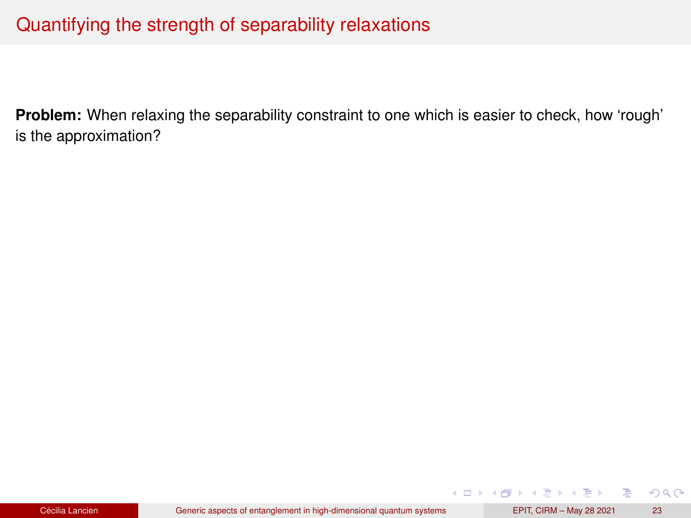## Quantifying the strength of separability relaxations

**Problem:** When relaxing the separability constraint to one which is easier to check, how 'rough' is the approximation?

 $299$ 

÷.

**K ロ ▶ K 御 ▶ K ヨ ▶ K ヨ ▶**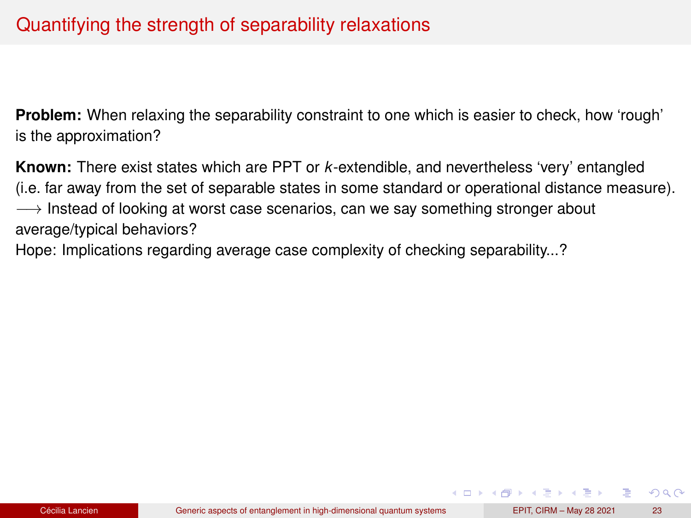**Problem:** When relaxing the separability constraint to one which is easier to check, how 'rough' is the approximation?

**Known:** There exist states which are PPT or *k*-extendible, and nevertheless 'very' entangled (i.e. far away from the set of separable states in some standard or operational distance measure).  $\rightarrow$  Instead of looking at worst case scenarios, can we say something stronger about average/typical behaviors?

Hope: Implications regarding average case complexity of checking separability...?

 $\Omega$ 

 $\mathbf{A} \cap \mathbf{B} \rightarrow \mathbf{A} \oplus \mathbf{B} \rightarrow \mathbf{A} \oplus \mathbf{B} \rightarrow \mathbf{A} \oplus \mathbf{B}$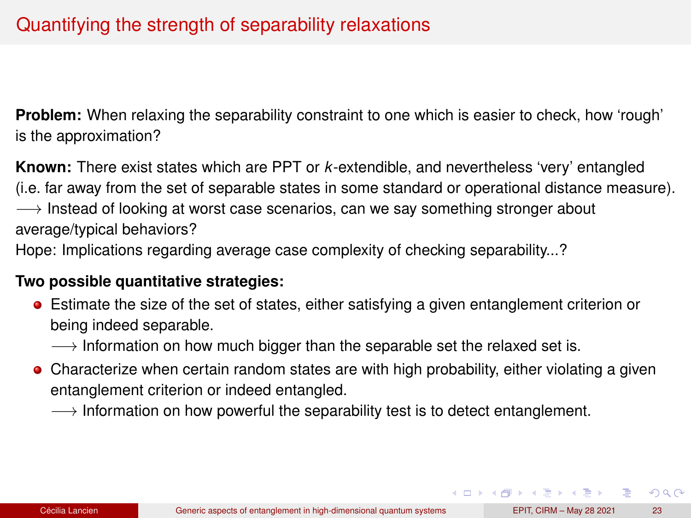<span id="page-45-0"></span>**Problem:** When relaxing the separability constraint to one which is easier to check, how 'rough' is the approximation?

**Known:** There exist states which are PPT or *k*-extendible, and nevertheless 'very' entangled (i.e. far away from the set of separable states in some standard or operational distance measure).  $\rightarrow$  Instead of looking at worst case scenarios, can we say something stronger about average/typical behaviors?

Hope: Implications regarding average case complexity of checking separability...?

#### **Two possible quantitative strategies:**

- Estimate the size of the set of states, either satisfying a given entanglement criterion or being indeed separable.
	- $\rightarrow$  Information on how much bigger than the separable set the relaxed set is.
- Characterize when certain random states are with high probability, either violating a given entanglement criterion or indeed entangled.
	- $\rightarrow$  Information on how powerful the separability test is to detect entanglement.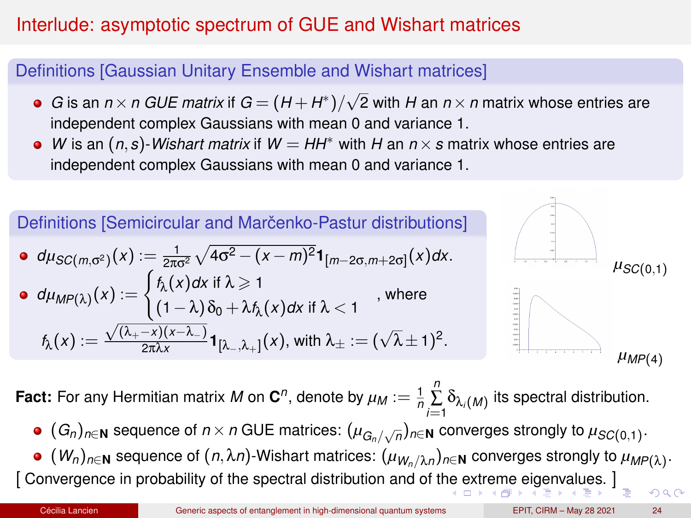# <span id="page-46-0"></span>Interlude: asymptotic spectrum of GUE and Wishart matrices

### Definitions [Gaussian Unitary Ensemble and Wishart matrices]

- *G* is an  $n \times n$  *GUE matrix* if  $G = (H + H^*)/\sqrt{2}$  with *H* an  $n \times n$  matrix whose entries are independent complex Gaussians with mean 0 and variance 1.
- *W* is an (*n*,*s*)-*Wishart matrix* if *W* = *HH*<sup>∗</sup> with *H* an *n*×*s* matrix whose entries are independent complex Gaussians with mean 0 and variance 1.



**Fact:** For any Hermitian matrix  $M$  on  $\mathbf{C}^n$ , denote by  $\mu_M := \frac{1}{n}$  $\sum_{i=1}^n \delta_{\lambda_i(M)}$  its spectral distribution.

- $(G_n)_{n\in\mathbf{N}}$  sequence of  $n\times n$  GUE matrices:  $(\mu_{G_n/\sqrt{n}})_{n\in\mathbf{N}}$  converges strongly to  $\mu_{SC(0,1)}$ .
- $(W_n)_{n\in{\bf N}}$  sequence of  $(n,\lambda n)$ -Wishart matrices:  $(\mu_{W_n/\lambda n})_{n\in{\bf N}}$  converges strongly to  $\mu_{MP(\lambda)}$ . [ Convergence in probability of the spectral distribution and of t[he](#page-45-0) e[xtr](#page-47-0)[e](#page-45-0)[me](#page-46-0) [e](#page-47-0)[i](#page-37-0)[ge](#page-38-0)[n](#page-46-0)[v](#page-47-0)[al](#page-36-0)[u](#page-37-0)[es.](#page-56-0) [\]](#page-0-0)  $\Omega$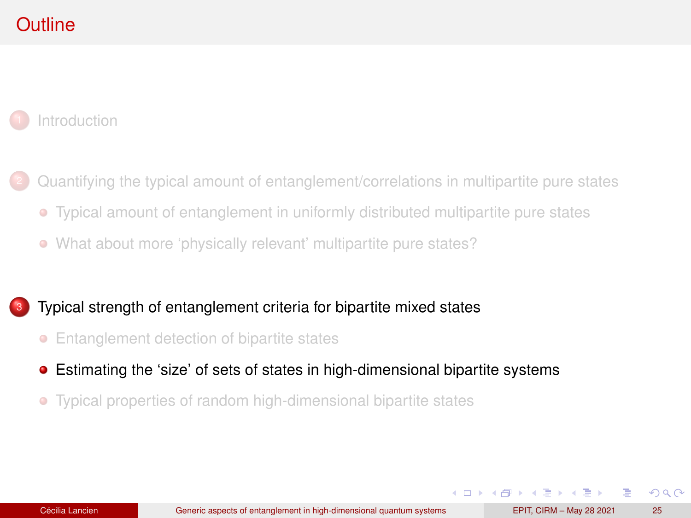# <span id="page-47-0"></span>**Outline**

**[Introduction](#page-1-0)** 

- <sup>2</sup> [Quantifying the typical amount of entanglement/correlations in multipartite pure states](#page-10-0)
	- [Typical amount of entanglement in uniformly distributed multipartite pure states](#page-11-0)
	- [What about more 'physically relevant' multipartite pure states?](#page-24-0)

#### [Typical strength of entanglement criteria for bipartite mixed states](#page-37-0)

- [Entanglement detection of bipartite states](#page-38-0)
- [Estimating the 'size' of sets of states in high-dimensional bipartite systems](#page-47-0)
- [Typical properties of random high-dimensional bipartite states](#page-51-0)  $\bullet$

 $\Omega$ 

4 ロ ト 4 何 ト 4 ヨ ト 4 ヨ ト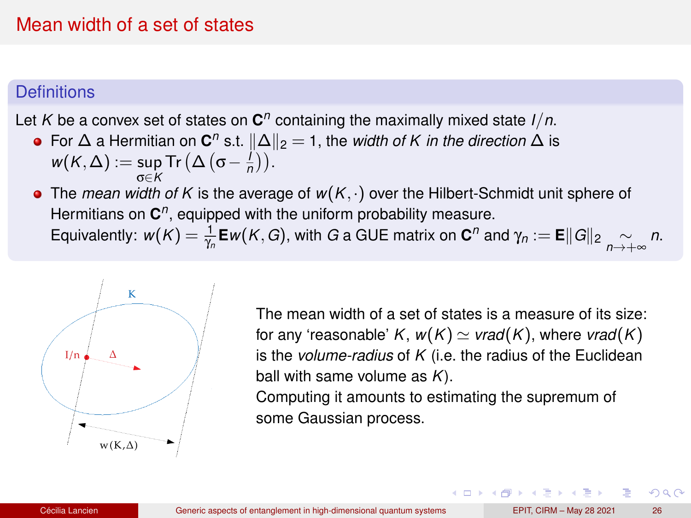## Mean width of a set of states

#### **Definitions**

Let *K* be a convex set of states on **C** *n* containing the maximally mixed state *I*/*n*.

For  $\Delta$  a Hermitian on  $\mathbf{C}^n$  s.t.  $\|\Delta\|_2 = 1$ , the *width of K in the direction*  $\Delta$  is  $w(K, \Delta) := \sup_{\sigma \in \mathcal{C}} \text{Tr} \left( \Delta \left( \sigma - \frac{I}{n} \right) \right).$ 

σ∈*K* The *mean width of K* is the average of *w*(*K*,·) over the Hilbert-Schmidt unit sphere of Hermitians on C<sup>n</sup>, equipped with the uniform probability measure. Equivalently:  $w(K) = \frac{1}{\gamma_n}$ **E***w*(*K*,*G*), with *G* a GUE matrix on **C**<sup>*n*</sup> and  $\gamma_n :=$  **E**||*G*||<sub>2</sub>  $\underset{n \to +\infty}{\sim} n$ .



The mean width of a set of states is a measure of its size: for any 'reasonable' *K*,  $w(K) \simeq \text{vrad}(K)$ , where  $\text{vrad}(K)$ is the *volume-radius* of *K* (i.e. the radius of the Euclidean ball with same volume as *K*).

Computing it amounts to estimating the supremum of some Gaussian process.

 $\Omega$ 

( ロ ) ( 何 ) ( ヨ ) ( ヨ )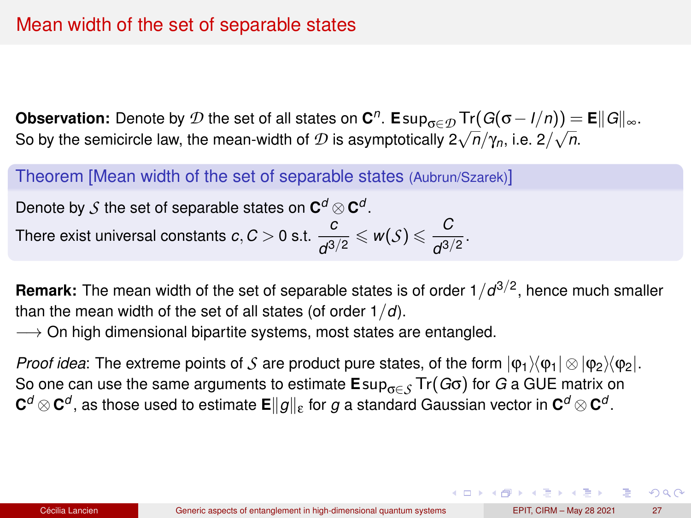**Observation:** Denote by  $\mathcal D$  the set of all states on  $\mathbf C^n$ . Esup<sub>σ∈</sub> $\mathcal D$  Tr( $G(\sigma - I/n)$ ) = E $\|G\|_{\infty}$ . **So by the semicircle law, the mean-width of** *D* **is asymptotically**  $2\sqrt{n}/\gamma_n$ **, i.e.**  $2/\sqrt{n}$ **.** 

Theorem [Mean width of the set of separable states (Aubrun/Szarek)]

Denote by  $\mathcal S$  the set of separable states on  $\mathbf{C}^d\otimes\mathbf{C}^d$ . There exist universal constants  $c, C > 0$  s.t.  $\frac{c}{c^2}$  $\frac{c}{d^{3/2}} \leqslant w(\mathcal{S}) \leqslant \frac{C}{d^{3/2}}$  $\frac{d^{3/2}}{1}$ 

**Remark:** The mean width of the set of separable states is of order 1/d<sup>3/2</sup>, hence much smaller than the mean width of the set of all states (of order 1/*d*).

 $\rightarrow$  On high dimensional bipartite systems, most states are entangled.

*Proof idea*: The extreme points of *S* are product pure states, of the form  $|\phi_1\rangle\langle\phi_1|\otimes|\phi_2\rangle\langle\phi_2|$ . So one can use the same arguments to estimate **E**supσ∈*<sup>S</sup>* Tr(*G*σ) for *G* a GUE matrix on  $\mathbf{C}^d\otimes\mathbf{C}^d$  , as those used to estimate  $\mathbf{E}\|g\|_{\mathbf{\epsilon}}$  for  $g$  a standard Gaussian vector in  $\mathbf{C}^d\otimes\mathbf{C}^d$  .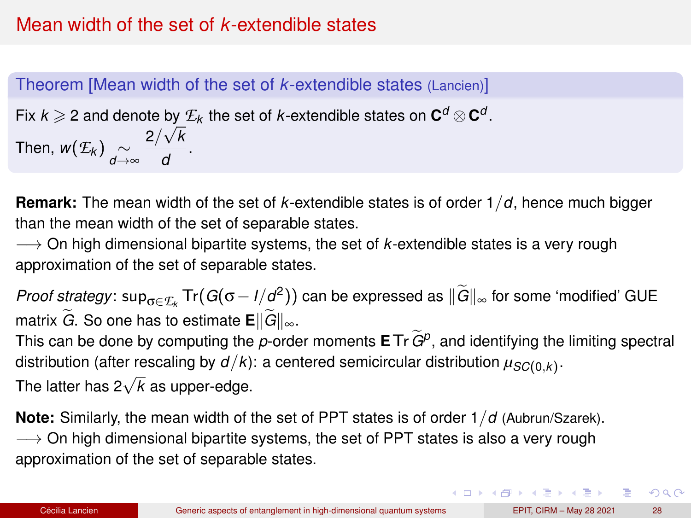# Mean width of the set of *k*-extendible states

### Theorem [Mean width of the set of *k*-extendible states (Lancien)]

Fix  $k \geqslant 2$  and denote by  $E_k$  the set of *k*-extendible states on  $\mathbf{C}^d \otimes \mathbf{C}^d$ . Then,  $w(\mathcal{E}_k) \underset{d \to \infty}{\sim}$ 2/ *k*  $\frac{1}{d}$ .

**Remark:** The mean width of the set of *k*-extendible states is of order 1/*d*, hence much bigger than the mean width of the set of separable states.

−→ On high dimensional bipartite systems, the set of *k*-extendible states is a very rough approximation of the set of separable states.

*Proof strategy*: sup<sub>σ∈</sub>*E*<sub>*k*</sub> Tr(*G*(σ − *I*/*d*<sup>2</sup>)) can be expressed as  $\|\tilde{G}\|_{\infty}$  for some 'modified' GUE matrix  $\widetilde{G}$ . So one has to estimate  $\mathbf{E} \Vert \widetilde{G} \Vert_{\infty}$ .

This can be done by computing the *<sup>p</sup>*-order moments **<sup>E</sup>**Tr*G*e*<sup>p</sup>* , and identifying the limiting spectral distribution (after rescaling by  $d/k$ ): a centered semicircular distribution  $\mu_{SC(0,k)}.$ 

The latter has 2<sup>√</sup> *k* as upper-edge.

**Note:** Similarly, the mean width of the set of PPT states is of order 1/*d* (Aubrun/Szarek).  $\rightarrow$  On high dimensional bipartite systems, the set of PPT states is also a very rough approximation of the set of separable states.

**KOD SOLAR ARE ARE SOLAR**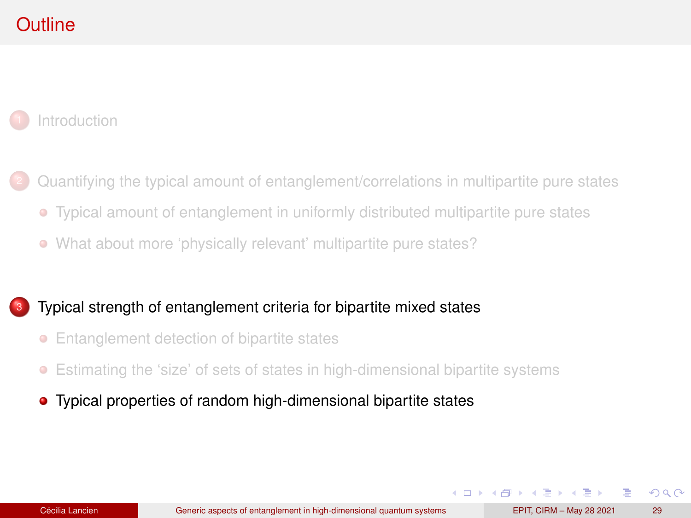# <span id="page-51-0"></span>**Outline**

**[Introduction](#page-1-0)** 

- <sup>2</sup> [Quantifying the typical amount of entanglement/correlations in multipartite pure states](#page-10-0)
	- [Typical amount of entanglement in uniformly distributed multipartite pure states](#page-11-0)
	- [What about more 'physically relevant' multipartite pure states?](#page-24-0)

#### [Typical strength of entanglement criteria for bipartite mixed states](#page-37-0)

- [Entanglement detection of bipartite states](#page-38-0)
- [Estimating the 'size' of sets of states in high-dimensional bipartite systems](#page-47-0)
- [Typical properties of random high-dimensional bipartite states](#page-51-0)

 $\Omega$ 

4 ロ ト 4 何 ト 4 ヨ ト 4 ヨ ト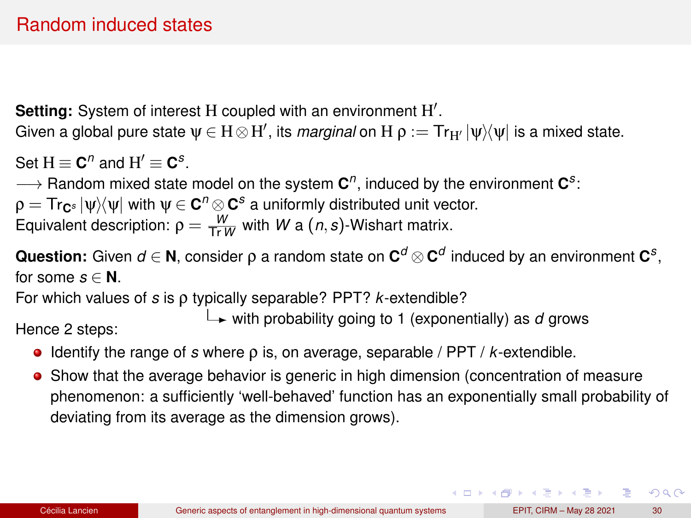# Random induced states

Setting: System of interest H coupled with an environment H'.

Given a global pure state  $\psi\in H\otimes H',$  its *marginal* on  $H$   $\rho:=$  Tr $_{H'}|{\psi}\rangle\langle{\psi}|$  is a mixed state.

Set  $H \equiv \mathbf{C}^n$  and  $H' \equiv \mathbf{C}^s$ .

→ Random mixed state model on the system  $C^n$ , induced by the environment  $C^s$ :

 $\rho = \mathsf{Tr}_{\mathbf{C}^s} \ket{\psi}\!\!\bra{\psi}$  with  $\psi \in \mathbf{C}^n \otimes \mathbf{C}^s$  a uniformly distributed unit vector. Equivalent description:  $\rho = \frac{W}{\text{Tr }W}$  with *W* a  $(n, s)$ -Wishart matrix.

**Question:** Given  $d \in \mathbf{N}$ , consider  $\rho$  a random state on  $\mathbf{C}^d \otimes \mathbf{C}^d$  induced by an environment  $\mathbf{C}^s$ , for some  $s \in \mathbb{N}$ .

For which values of *s* is ρ typically separable? PPT? *k*-extendible?

with probability going to 1 (exponentially) as *<sup>d</sup>* grows Hence 2 steps:

- Identify the range of *s* where ρ is, on average, separable / PPT / *k*-extendible.
- Show that the average behavior is generic in high dimension (concentration of measure phenomenon: a sufficiently 'well-behaved' function has an exponentially small probability of deviating from its average as the dimension grows).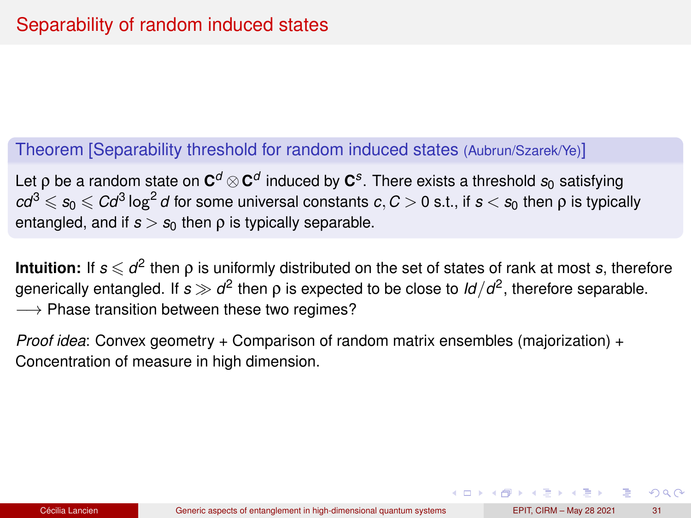### Theorem [Separability threshold for random induced states (Aubrun/Szarek/Ye)]

Let  $\rho$  be a random state on  $\mathbf{C}^d\otimes\mathbf{C}^d$  induced by  $\mathbf{C}^s.$  There exists a threshold  $s_0$  satisfying  $cd^3 \leqslant s_0 \leqslant C d^3 \log^2 d$  for some universal constants  $c,C>0$  s.t., if  $s < s_0$  then  $\rho$  is typically entangled, and if  $s > s_0$  then  $\rho$  is typically separable.

**Intuition:** If  $s \leqslant d^2$  then  $\rho$  is uniformly distributed on the set of states of rank at most  $s$ , therefore generically entangled. If  $s\gg d^2$  then  $\rho$  is expected to be close to  $\mathit{Id}/d^2$ , therefore separable.  $\longrightarrow$  Phase transition between these two regimes?

*Proof idea*: Convex geometry + Comparison of random matrix ensembles (majorization) + Concentration of measure in high dimension.

 $QQ$ 

 $\mathbf{A} \cap \mathbf{B} \rightarrow \mathbf{A} \oplus \mathbf{B} \rightarrow \mathbf{A} \oplus \mathbf{B} \rightarrow \mathbf{B} \oplus \mathbf{B}$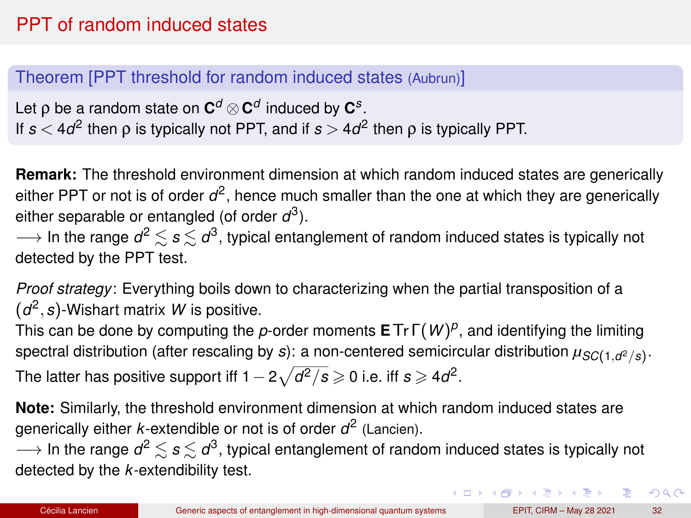# PPT of random induced states

### Theorem [PPT threshold for random induced states (Aubrun)]

Let  $\rho$  be a random state on  $\mathbf{C}^d \otimes \mathbf{C}^d$  induced by  $\mathbf{C}^s$ . If *s* < 4*d* 2 then ρ is typically not PPT, and if *s* > 4*d* 2 then ρ is typically PPT.

**Remark:** The threshold environment dimension at which random induced states are generically either PPT or not is of order  $d^2$ , hence much smaller than the one at which they are generically either separable or entangled (of order *d* 3 ).

 $\longrightarrow$  In the range  $d^2\lesssim s\lesssim d^3$ , typical entanglement of random induced states is typically not detected by the PPT test.

*Proof strategy*: Everything boils down to characterizing when the partial transposition of a (*d* 2 ,*s*)-Wishart matrix *W* is positive.

This can be done by computing the *p*-order moments **E**Tr Γ(*W*) *p* , and identifying the limiting spectral distribution (after rescaling by *s*): a non-centered semicircular distribution *µSC*(1,*<sup>d</sup>* <sup>2</sup>/*s*) . The latter has positive support iff 1  $-2\sqrt{d^2/s}\geqslant$  0 i.e. iff  $s$   $\geqslant$  4 $d^2$ .

**Note:** Similarly, the threshold environment dimension at which random induced states are generically either *k*-extendible or not is of order *d* 2 (Lancien).

 $\longrightarrow$  In the range  $d^2\lesssim s\lesssim d^3$ , typical entanglement of random induced states is typically not detected by the *k*-extendibility test.

 $\mathbf{A} \cap \mathbf{B} \rightarrow \mathbf{A} \oplus \mathbf{B} \rightarrow \mathbf{A} \oplus \mathbf{B} \rightarrow \mathbf{B} \oplus \mathbf{B} \oplus \mathbf{B} \oplus \mathbf{B} \oplus \mathbf{B} \oplus \mathbf{B} \oplus \mathbf{B} \oplus \mathbf{B} \oplus \mathbf{B} \oplus \mathbf{B} \oplus \mathbf{B} \oplus \mathbf{B} \oplus \mathbf{B} \oplus \mathbf{B} \oplus \mathbf{B} \oplus \mathbf{B} \oplus \mathbf{B} \oplus \mathbf{B} \oplus \mathbf{B} \opl$ 

 $299$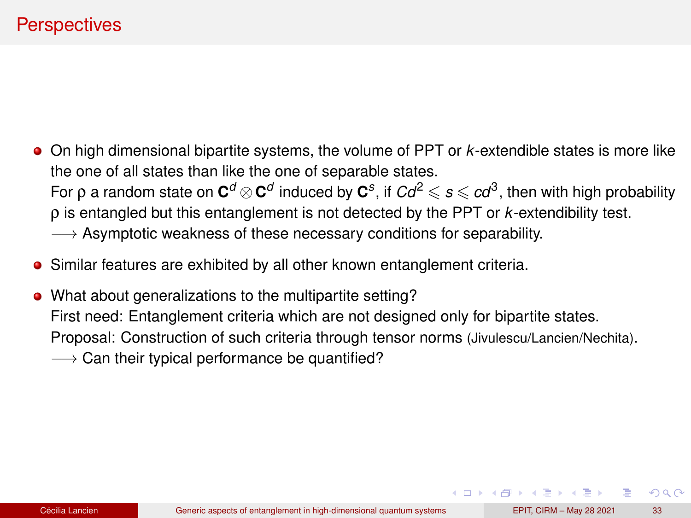- On high dimensional bipartite systems, the volume of PPT or *k*-extendible states is more like the one of all states than like the one of separable states. For ρ a random state on  $C^d$   $\otimes$   $C^d$  induced by  $C^s$ , if  $Cd^2 \leqslant s \leqslant cd^3,$  then with high probability ρ is entangled but this entanglement is not detected by the PPT or *k*-extendibility test. → Asymptotic weakness of these necessary conditions for separability.
- Similar features are exhibited by all other known entanglement criteria.
- What about generalizations to the multipartite setting? First need: Entanglement criteria which are not designed only for bipartite states. Proposal: Construction of such criteria through tensor norms (Jivulescu/Lancien/Nechita).  $\rightarrow$  Can their typical performance be quantified?

 $QQ$ 

 $\mathbf{A} \cap \mathbf{B} \rightarrow \mathbf{A} \oplus \mathbf{B} \rightarrow \mathbf{A} \oplus \mathbf{B} \rightarrow \mathbf{A} \oplus \mathbf{B}$